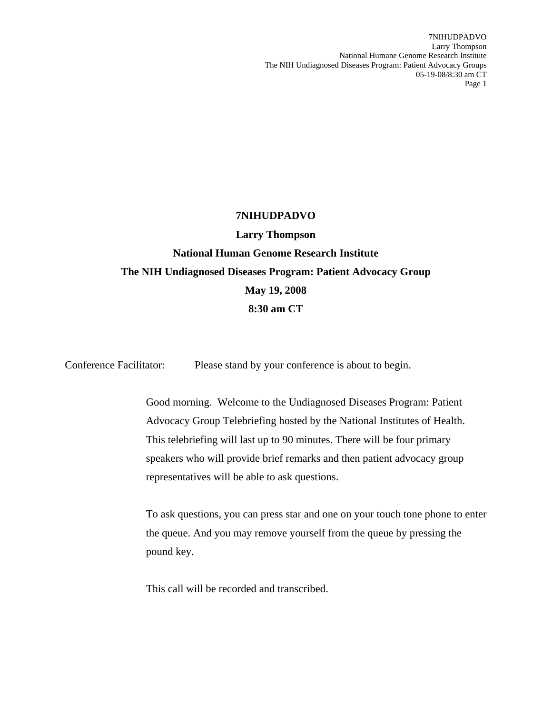7NIHUDPADVO Larry Thompson National Humane Genome Research Institute The NIH Undiagnosed Diseases Program: Patient Advocacy Groups 05-19-08/8:30 am CT Page 1

## **7NIHUDPADVO**

**Larry Thompson National Human Genome Research Institute The NIH Undiagnosed Diseases Program: Patient Advocacy Group May 19, 2008 8:30 am CT** 

Conference Facilitator: Please stand by your conference is about to begin.

Good morning. Welcome to the Undiagnosed Diseases Program: Patient Advocacy Group Telebriefing hosted by the National Institutes of Health. This telebriefing will last up to 90 minutes. There will be four primary speakers who will provide brief remarks and then patient advocacy group representatives will be able to ask questions.

To ask questions, you can press star and one on your touch tone phone to enter the queue. And you may remove yourself from the queue by pressing the pound key.

This call will be recorded and transcribed.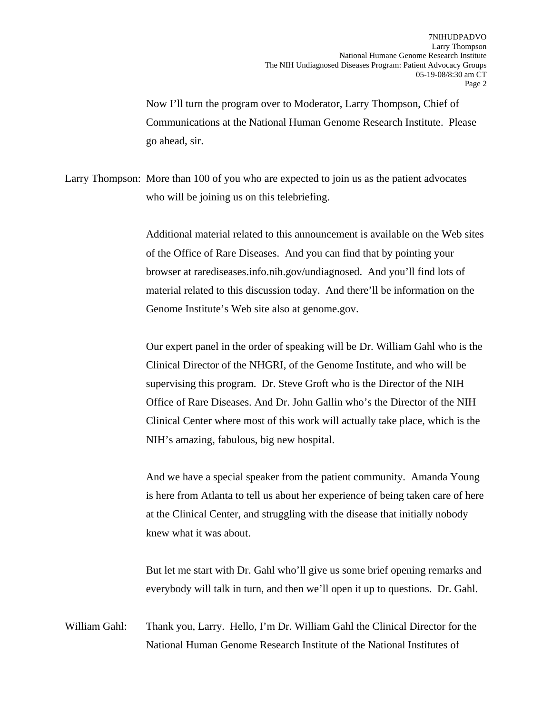Now I'll turn the program over to Moderator, Larry Thompson, Chief of Communications at the National Human Genome Research Institute. Please go ahead, sir.

Larry Thompson: More than 100 of you who are expected to join us as the patient advocates who will be joining us on this telebriefing.

> Additional material related to this announcement is available on the Web sites of the Office of Rare Diseases. And you can find that by pointing your browser at rarediseases.info.nih.gov/undiagnosed. And you'll find lots of material related to this discussion today. And there'll be information on the Genome Institute's Web site also at genome.gov.

> Our expert panel in the order of speaking will be Dr. William Gahl who is the Clinical Director of the NHGRI, of the Genome Institute, and who will be supervising this program. Dr. Steve Groft who is the Director of the NIH Office of Rare Diseases. And Dr. John Gallin who's the Director of the NIH Clinical Center where most of this work will actually take place, which is the NIH's amazing, fabulous, big new hospital.

> And we have a special speaker from the patient community. Amanda Young is here from Atlanta to tell us about her experience of being taken care of here at the Clinical Center, and struggling with the disease that initially nobody knew what it was about.

> But let me start with Dr. Gahl who'll give us some brief opening remarks and everybody will talk in turn, and then we'll open it up to questions. Dr. Gahl.

William Gahl: Thank you, Larry. Hello, I'm Dr. William Gahl the Clinical Director for the National Human Genome Research Institute of the National Institutes of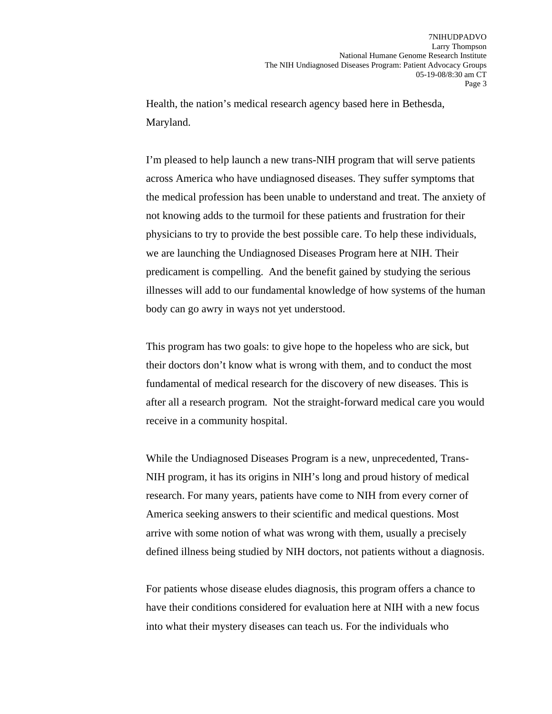Health, the nation's medical research agency based here in Bethesda, Maryland.

I'm pleased to help launch a new trans-NIH program that will serve patients across America who have undiagnosed diseases. They suffer symptoms that the medical profession has been unable to understand and treat. The anxiety of not knowing adds to the turmoil for these patients and frustration for their physicians to try to provide the best possible care. To help these individuals, we are launching the Undiagnosed Diseases Program here at NIH. Their predicament is compelling. And the benefit gained by studying the serious illnesses will add to our fundamental knowledge of how systems of the human body can go awry in ways not yet understood.

This program has two goals: to give hope to the hopeless who are sick, but their doctors don't know what is wrong with them, and to conduct the most fundamental of medical research for the discovery of new diseases. This is after all a research program. Not the straight-forward medical care you would receive in a community hospital.

While the Undiagnosed Diseases Program is a new, unprecedented, Trans-NIH program, it has its origins in NIH's long and proud history of medical research. For many years, patients have come to NIH from every corner of America seeking answers to their scientific and medical questions. Most arrive with some notion of what was wrong with them, usually a precisely defined illness being studied by NIH doctors, not patients without a diagnosis.

For patients whose disease eludes diagnosis, this program offers a chance to have their conditions considered for evaluation here at NIH with a new focus into what their mystery diseases can teach us. For the individuals who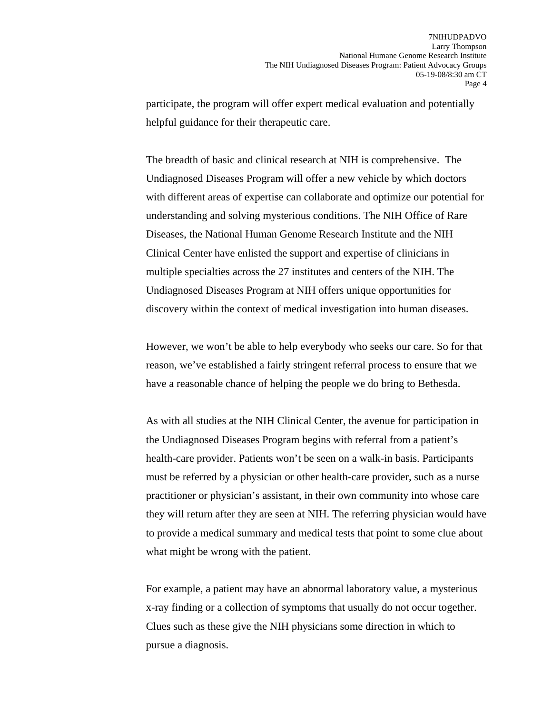participate, the program will offer expert medical evaluation and potentially helpful guidance for their therapeutic care.

The breadth of basic and clinical research at NIH is comprehensive. The Undiagnosed Diseases Program will offer a new vehicle by which doctors with different areas of expertise can collaborate and optimize our potential for understanding and solving mysterious conditions. The NIH Office of Rare Diseases, the National Human Genome Research Institute and the NIH Clinical Center have enlisted the support and expertise of clinicians in multiple specialties across the 27 institutes and centers of the NIH. The Undiagnosed Diseases Program at NIH offers unique opportunities for discovery within the context of medical investigation into human diseases.

However, we won't be able to help everybody who seeks our care. So for that reason, we've established a fairly stringent referral process to ensure that we have a reasonable chance of helping the people we do bring to Bethesda.

As with all studies at the NIH Clinical Center, the avenue for participation in the Undiagnosed Diseases Program begins with referral from a patient's health-care provider. Patients won't be seen on a walk-in basis. Participants must be referred by a physician or other health-care provider, such as a nurse practitioner or physician's assistant, in their own community into whose care they will return after they are seen at NIH. The referring physician would have to provide a medical summary and medical tests that point to some clue about what might be wrong with the patient.

For example, a patient may have an abnormal laboratory value, a mysterious x-ray finding or a collection of symptoms that usually do not occur together. Clues such as these give the NIH physicians some direction in which to pursue a diagnosis.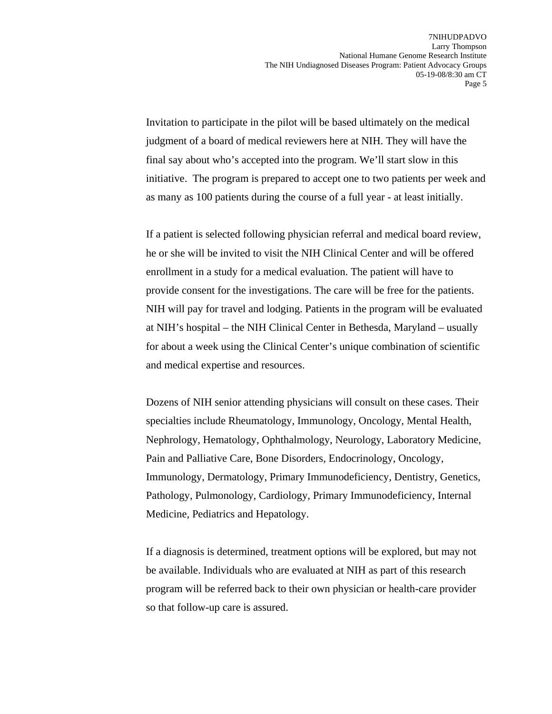Invitation to participate in the pilot will be based ultimately on the medical judgment of a board of medical reviewers here at NIH. They will have the final say about who's accepted into the program. We'll start slow in this initiative. The program is prepared to accept one to two patients per week and as many as 100 patients during the course of a full year - at least initially.

If a patient is selected following physician referral and medical board review, he or she will be invited to visit the NIH Clinical Center and will be offered enrollment in a study for a medical evaluation. The patient will have to provide consent for the investigations. The care will be free for the patients. NIH will pay for travel and lodging. Patients in the program will be evaluated at NIH's hospital – the NIH Clinical Center in Bethesda, Maryland – usually for about a week using the Clinical Center's unique combination of scientific and medical expertise and resources.

Dozens of NIH senior attending physicians will consult on these cases. Their specialties include Rheumatology, Immunology, Oncology, Mental Health, Nephrology, Hematology, Ophthalmology, Neurology, Laboratory Medicine, Pain and Palliative Care, Bone Disorders, Endocrinology, Oncology, Immunology, Dermatology, Primary Immunodeficiency, Dentistry, Genetics, Pathology, Pulmonology, Cardiology, Primary Immunodeficiency, Internal Medicine, Pediatrics and Hepatology.

If a diagnosis is determined, treatment options will be explored, but may not be available. Individuals who are evaluated at NIH as part of this research program will be referred back to their own physician or health-care provider so that follow-up care is assured.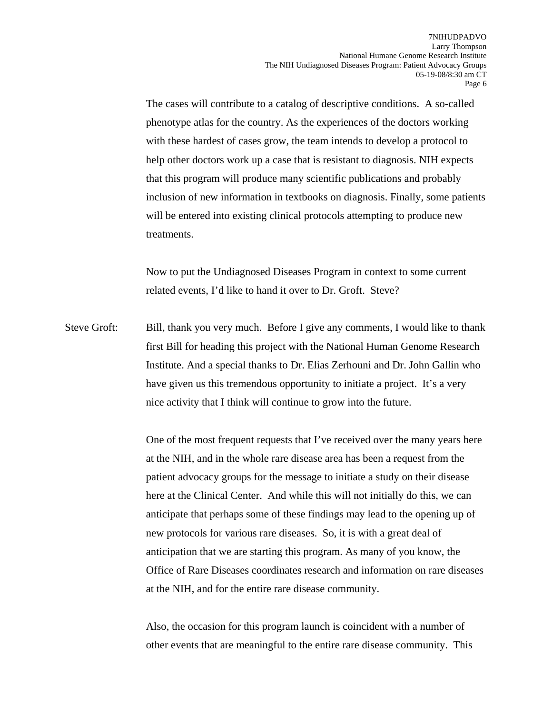The cases will contribute to a catalog of descriptive conditions. A so-called phenotype atlas for the country. As the experiences of the doctors working with these hardest of cases grow, the team intends to develop a protocol to help other doctors work up a case that is resistant to diagnosis. NIH expects that this program will produce many scientific publications and probably inclusion of new information in textbooks on diagnosis. Finally, some patients will be entered into existing clinical protocols attempting to produce new treatments.

Now to put the Undiagnosed Diseases Program in context to some current related events, I'd like to hand it over to Dr. Groft. Steve?

Steve Groft: Bill, thank you very much. Before I give any comments, I would like to thank first Bill for heading this project with the National Human Genome Research Institute. And a special thanks to Dr. Elias Zerhouni and Dr. John Gallin who have given us this tremendous opportunity to initiate a project. It's a very nice activity that I think will continue to grow into the future.

> One of the most frequent requests that I've received over the many years here at the NIH, and in the whole rare disease area has been a request from the patient advocacy groups for the message to initiate a study on their disease here at the Clinical Center. And while this will not initially do this, we can anticipate that perhaps some of these findings may lead to the opening up of new protocols for various rare diseases. So, it is with a great deal of anticipation that we are starting this program. As many of you know, the Office of Rare Diseases coordinates research and information on rare diseases at the NIH, and for the entire rare disease community.

Also, the occasion for this program launch is coincident with a number of other events that are meaningful to the entire rare disease community. This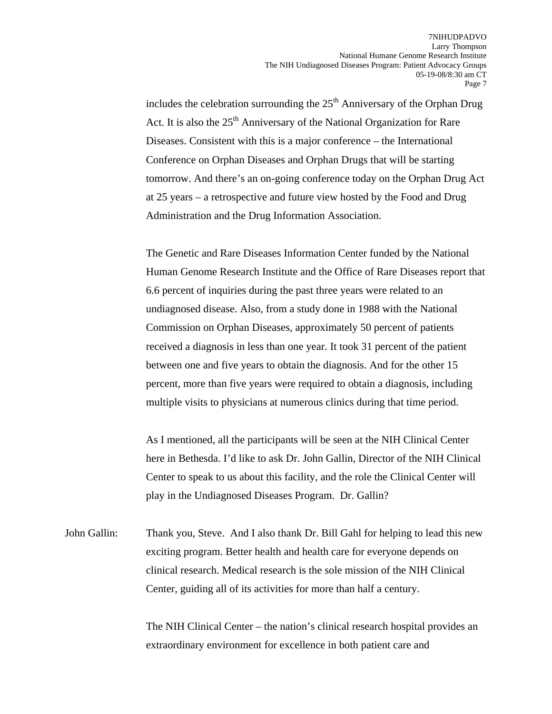includes the celebration surrounding the  $25<sup>th</sup>$  Anniversary of the Orphan Drug Act. It is also the 25<sup>th</sup> Anniversary of the National Organization for Rare Diseases. Consistent with this is a major conference – the International Conference on Orphan Diseases and Orphan Drugs that will be starting tomorrow. And there's an on-going conference today on the Orphan Drug Act at 25 years – a retrospective and future view hosted by the Food and Drug Administration and the Drug Information Association.

The Genetic and Rare Diseases Information Center funded by the National Human Genome Research Institute and the Office of Rare Diseases report that 6.6 percent of inquiries during the past three years were related to an undiagnosed disease. Also, from a study done in 1988 with the National Commission on Orphan Diseases, approximately 50 percent of patients received a diagnosis in less than one year. It took 31 percent of the patient between one and five years to obtain the diagnosis. And for the other 15 percent, more than five years were required to obtain a diagnosis, including multiple visits to physicians at numerous clinics during that time period.

As I mentioned, all the participants will be seen at the NIH Clinical Center here in Bethesda. I'd like to ask Dr. John Gallin, Director of the NIH Clinical Center to speak to us about this facility, and the role the Clinical Center will play in the Undiagnosed Diseases Program. Dr. Gallin?

John Gallin: Thank you, Steve. And I also thank Dr. Bill Gahl for helping to lead this new exciting program. Better health and health care for everyone depends on clinical research. Medical research is the sole mission of the NIH Clinical Center, guiding all of its activities for more than half a century.

> The NIH Clinical Center – the nation's clinical research hospital provides an extraordinary environment for excellence in both patient care and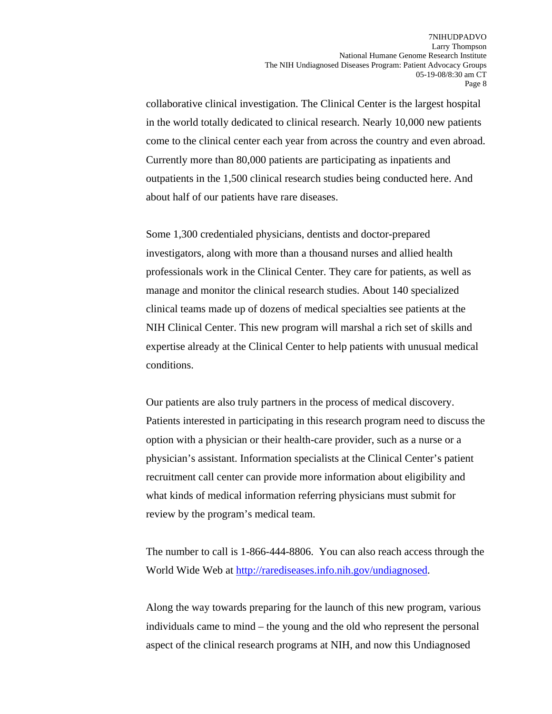collaborative clinical investigation. The Clinical Center is the largest hospital in the world totally dedicated to clinical research. Nearly 10,000 new patients come to the clinical center each year from across the country and even abroad. Currently more than 80,000 patients are participating as inpatients and outpatients in the 1,500 clinical research studies being conducted here. And about half of our patients have rare diseases.

Some 1,300 credentialed physicians, dentists and doctor-prepared investigators, along with more than a thousand nurses and allied health professionals work in the Clinical Center. They care for patients, as well as manage and monitor the clinical research studies. About 140 specialized clinical teams made up of dozens of medical specialties see patients at the NIH Clinical Center. This new program will marshal a rich set of skills and expertise already at the Clinical Center to help patients with unusual medical conditions.

Our patients are also truly partners in the process of medical discovery. Patients interested in participating in this research program need to discuss the option with a physician or their health-care provider, such as a nurse or a physician's assistant. Information specialists at the Clinical Center's patient recruitment call center can provide more information about eligibility and what kinds of medical information referring physicians must submit for review by the program's medical team.

The number to call is 1-866-444-8806. You can also reach access through the World Wide Web at <http://rarediseases.info.nih.gov/undiagnosed>.

Along the way towards preparing for the launch of this new program, various individuals came to mind – the young and the old who represent the personal aspect of the clinical research programs at NIH, and now this Undiagnosed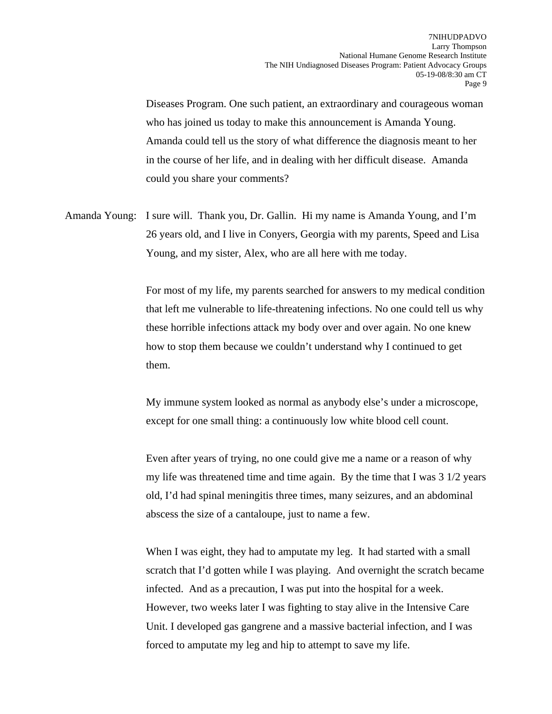Diseases Program. One such patient, an extraordinary and courageous woman who has joined us today to make this announcement is Amanda Young. Amanda could tell us the story of what difference the diagnosis meant to her in the course of her life, and in dealing with her difficult disease. Amanda could you share your comments?

Amanda Young: I sure will. Thank you, Dr. Gallin. Hi my name is Amanda Young, and I'm 26 years old, and I live in Conyers, Georgia with my parents, Speed and Lisa Young, and my sister, Alex, who are all here with me today.

> For most of my life, my parents searched for answers to my medical condition that left me vulnerable to life-threatening infections. No one could tell us why these horrible infections attack my body over and over again. No one knew how to stop them because we couldn't understand why I continued to get them.

My immune system looked as normal as anybody else's under a microscope, except for one small thing: a continuously low white blood cell count.

Even after years of trying, no one could give me a name or a reason of why my life was threatened time and time again. By the time that I was  $3 \frac{1}{2}$  years old, I'd had spinal meningitis three times, many seizures, and an abdominal abscess the size of a cantaloupe, just to name a few.

When I was eight, they had to amputate my leg. It had started with a small scratch that I'd gotten while I was playing. And overnight the scratch became infected. And as a precaution, I was put into the hospital for a week. However, two weeks later I was fighting to stay alive in the Intensive Care Unit. I developed gas gangrene and a massive bacterial infection, and I was forced to amputate my leg and hip to attempt to save my life.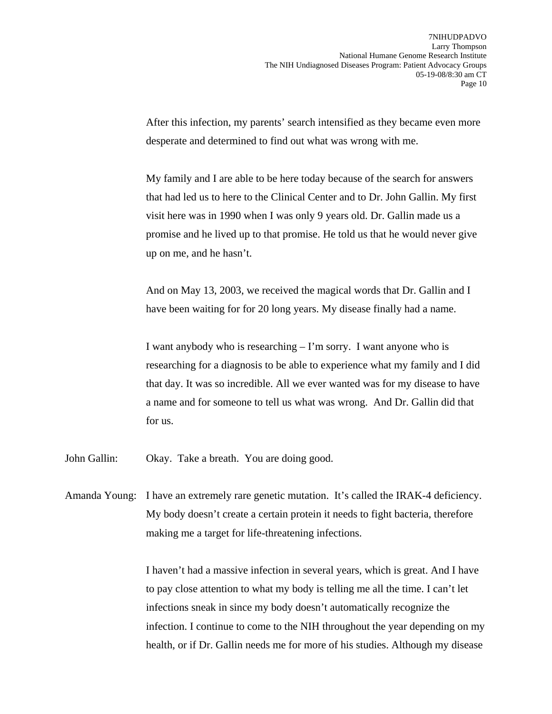After this infection, my parents' search intensified as they became even more desperate and determined to find out what was wrong with me.

My family and I are able to be here today because of the search for answers that had led us to here to the Clinical Center and to Dr. John Gallin. My first visit here was in 1990 when I was only 9 years old. Dr. Gallin made us a promise and he lived up to that promise. He told us that he would never give up on me, and he hasn't.

And on May 13, 2003, we received the magical words that Dr. Gallin and I have been waiting for for 20 long years. My disease finally had a name.

I want anybody who is researching – I'm sorry. I want anyone who is researching for a diagnosis to be able to experience what my family and I did that day. It was so incredible. All we ever wanted was for my disease to have a name and for someone to tell us what was wrong. And Dr. Gallin did that for us.

- John Gallin: Okay. Take a breath. You are doing good.
- Amanda Young: I have an extremely rare genetic mutation. It's called the IRAK-4 deficiency. My body doesn't create a certain protein it needs to fight bacteria, therefore making me a target for life-threatening infections.

I haven't had a massive infection in several years, which is great. And I have to pay close attention to what my body is telling me all the time. I can't let infections sneak in since my body doesn't automatically recognize the infection. I continue to come to the NIH throughout the year depending on my health, or if Dr. Gallin needs me for more of his studies. Although my disease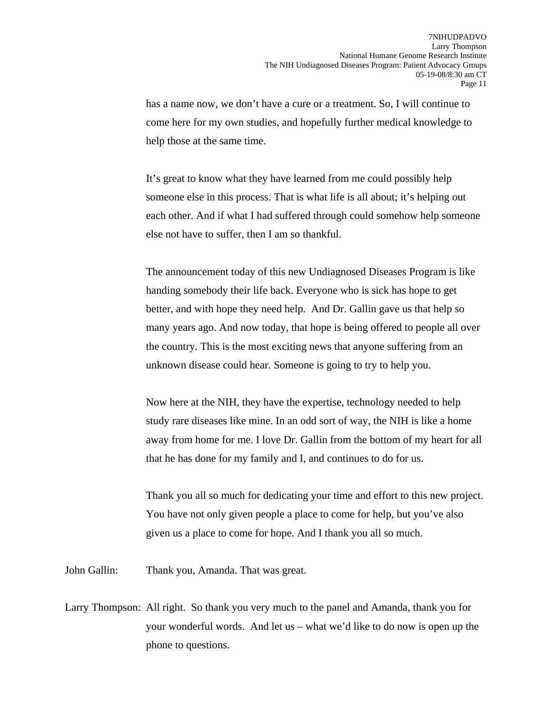has a name now, we don't have a cure or a treatment. So, I will continue to come here for my own studies, and hopefully further medical knowledge to help those at the same time.

It's great to know what they have learned from me could possibly help someone else in this process. That is what life is all about; it's helping out each other. And if what I had suffered through could somehow help someone else not have to suffer, then I am so thankful.

The announcement today of this new Undiagnosed Diseases Program is like handing somebody their life back. Everyone who is sick has hope to get better, and with hope they need help. And Dr. Gallin gave us that help so many years ago. And now today, that hope is being offered to people all over the country. This is the most exciting news that anyone suffering from an unknown disease could hear. Someone is going to try to help you.

Now here at the NIH, they have the expertise, technology needed to help study rare diseases like mine. In an odd sort of way, the NIH is like a home away from home for me. I love Dr. Gallin from the bottom of my heart for all that he has done for my family and I, and continues to do for us.

Thank you all so much for dedicating your time and effort to this new project. You have not only given people a place to come for help, but you've also given us a place to come for hope. And I thank you all so much.

John Gallin: Thank you, Amanda. That was great.

Larry Thompson: All right. So thank you very much to the panel and Amanda, thank you for your wonderful words. And let us – what we'd like to do now is open up the phone to questions.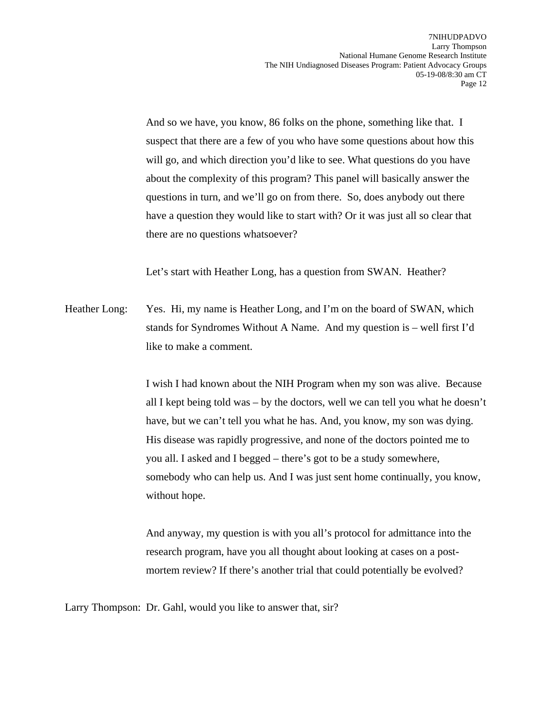And so we have, you know, 86 folks on the phone, something like that. I suspect that there are a few of you who have some questions about how this will go, and which direction you'd like to see. What questions do you have about the complexity of this program? This panel will basically answer the questions in turn, and we'll go on from there. So, does anybody out there have a question they would like to start with? Or it was just all so clear that there are no questions whatsoever?

Let's start with Heather Long, has a question from SWAN. Heather?

Heather Long: Yes. Hi, my name is Heather Long, and I'm on the board of SWAN, which stands for Syndromes Without A Name. And my question is – well first I'd like to make a comment.

> I wish I had known about the NIH Program when my son was alive. Because all I kept being told was – by the doctors, well we can tell you what he doesn't have, but we can't tell you what he has. And, you know, my son was dying. His disease was rapidly progressive, and none of the doctors pointed me to you all. I asked and I begged – there's got to be a study somewhere, somebody who can help us. And I was just sent home continually, you know, without hope.

And anyway, my question is with you all's protocol for admittance into the research program, have you all thought about looking at cases on a postmortem review? If there's another trial that could potentially be evolved?

Larry Thompson: Dr. Gahl, would you like to answer that, sir?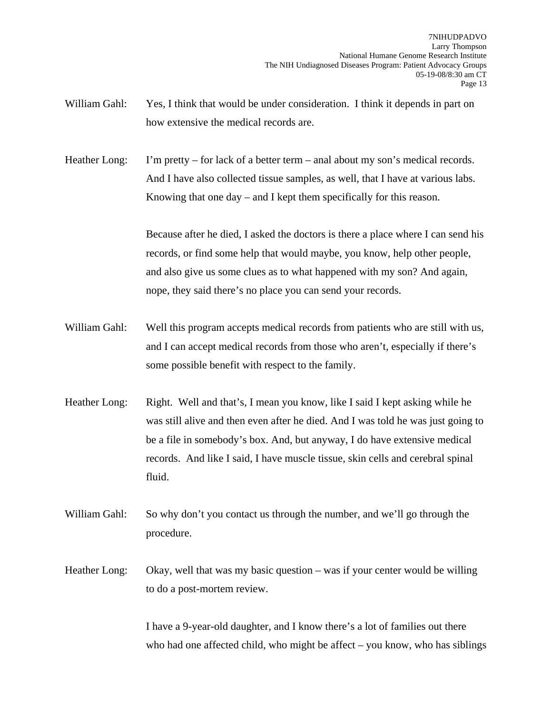William Gahl: Yes, I think that would be under consideration. I think it depends in part on how extensive the medical records are.

Heather Long: I'm pretty – for lack of a better term – anal about my son's medical records. And I have also collected tissue samples, as well, that I have at various labs. Knowing that one day – and I kept them specifically for this reason.

> Because after he died, I asked the doctors is there a place where I can send his records, or find some help that would maybe, you know, help other people, and also give us some clues as to what happened with my son? And again, nope, they said there's no place you can send your records.

- William Gahl: Well this program accepts medical records from patients who are still with us, and I can accept medical records from those who aren't, especially if there's some possible benefit with respect to the family.
- Heather Long: Right. Well and that's, I mean you know, like I said I kept asking while he was still alive and then even after he died. And I was told he was just going to be a file in somebody's box. And, but anyway, I do have extensive medical records. And like I said, I have muscle tissue, skin cells and cerebral spinal fluid.
- William Gahl: So why don't you contact us through the number, and we'll go through the procedure.
- Heather Long: Okay, well that was my basic question was if your center would be willing to do a post-mortem review.

I have a 9-year-old daughter, and I know there's a lot of families out there who had one affected child, who might be affect  $-$  you know, who has siblings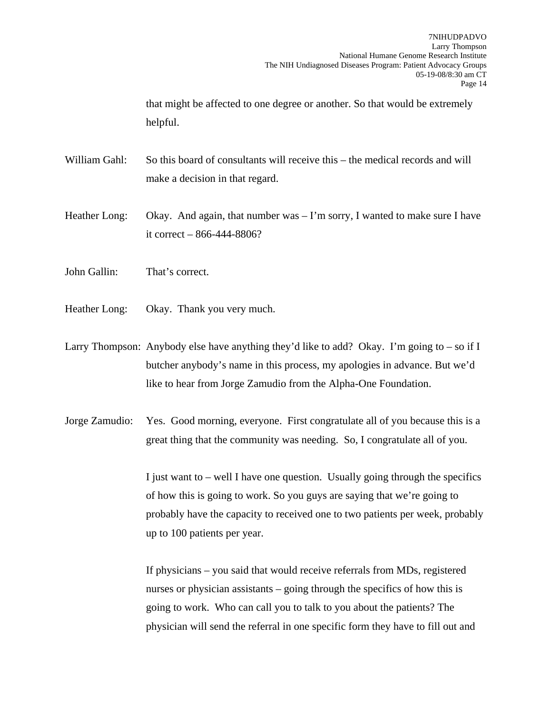that might be affected to one degree or another. So that would be extremely helpful.

William Gahl: So this board of consultants will receive this – the medical records and will make a decision in that regard.

Heather Long: Okay. And again, that number was – I'm sorry, I wanted to make sure I have it correct – 866-444-8806?

- John Gallin: That's correct.
- Heather Long: Okay. Thank you very much.

Larry Thompson: Anybody else have anything they'd like to add? Okay. I'm going to – so if I butcher anybody's name in this process, my apologies in advance. But we'd like to hear from Jorge Zamudio from the Alpha-One Foundation.

Jorge Zamudio: Yes. Good morning, everyone. First congratulate all of you because this is a great thing that the community was needing. So, I congratulate all of you.

> I just want to – well I have one question. Usually going through the specifics of how this is going to work. So you guys are saying that we're going to probably have the capacity to received one to two patients per week, probably up to 100 patients per year.

If physicians – you said that would receive referrals from MDs, registered nurses or physician assistants – going through the specifics of how this is going to work. Who can call you to talk to you about the patients? The physician will send the referral in one specific form they have to fill out and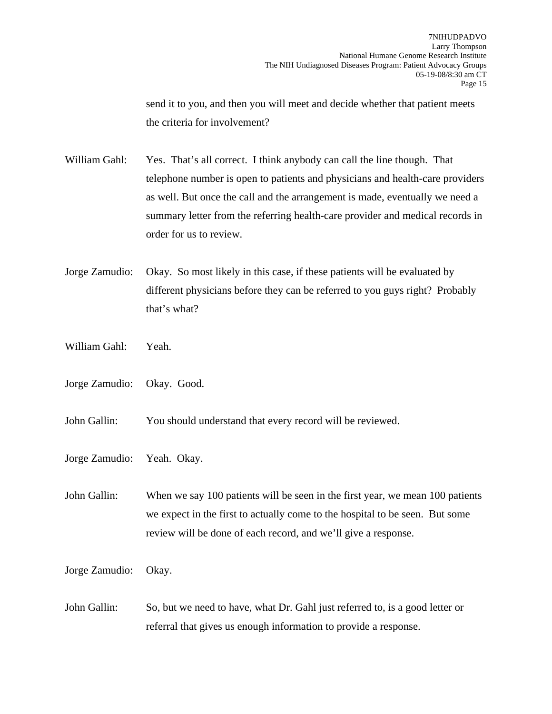send it to you, and then you will meet and decide whether that patient meets the criteria for involvement?

William Gahl: Yes. That's all correct. I think anybody can call the line though. That telephone number is open to patients and physicians and health-care providers as well. But once the call and the arrangement is made, eventually we need a summary letter from the referring health-care provider and medical records in order for us to review.

- Jorge Zamudio: Okay. So most likely in this case, if these patients will be evaluated by different physicians before they can be referred to you guys right? Probably that's what?
- William Gahl: Yeah.
- Jorge Zamudio: Okay. Good.

John Gallin: You should understand that every record will be reviewed.

Jorge Zamudio: Yeah. Okay.

John Gallin: When we say 100 patients will be seen in the first year, we mean 100 patients we expect in the first to actually come to the hospital to be seen. But some review will be done of each record, and we'll give a response.

Jorge Zamudio: Okay.

John Gallin: So, but we need to have, what Dr. Gahl just referred to, is a good letter or referral that gives us enough information to provide a response.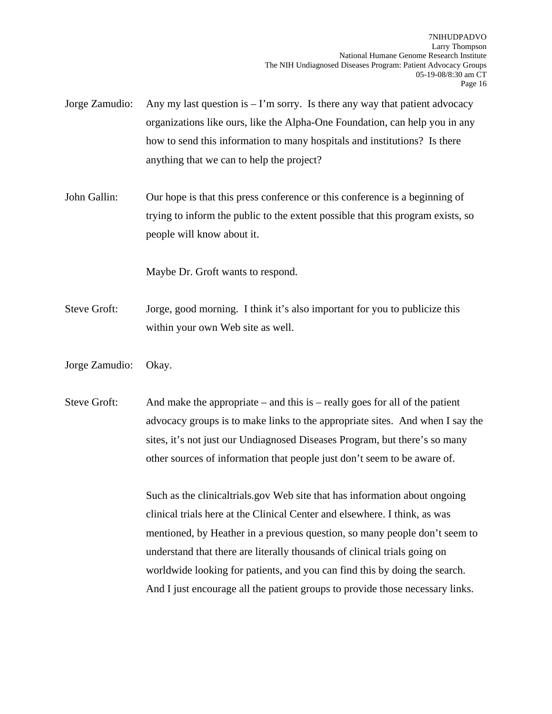- Jorge Zamudio: Any my last question is I'm sorry. Is there any way that patient advocacy organizations like ours, like the Alpha-One Foundation, can help you in any how to send this information to many hospitals and institutions? Is there anything that we can to help the project?
- John Gallin: Our hope is that this press conference or this conference is a beginning of trying to inform the public to the extent possible that this program exists, so people will know about it.

Maybe Dr. Groft wants to respond.

- Steve Groft: Jorge, good morning. I think it's also important for you to publicize this within your own Web site as well.
- Jorge Zamudio: Okay.

Steve Groft: And make the appropriate – and this is – really goes for all of the patient advocacy groups is to make links to the appropriate sites. And when I say the sites, it's not just our Undiagnosed Diseases Program, but there's so many other sources of information that people just don't seem to be aware of.

> Such as the clinicaltrials.gov Web site that has information about ongoing clinical trials here at the Clinical Center and elsewhere. I think, as was mentioned, by Heather in a previous question, so many people don't seem to understand that there are literally thousands of clinical trials going on worldwide looking for patients, and you can find this by doing the search. And I just encourage all the patient groups to provide those necessary links.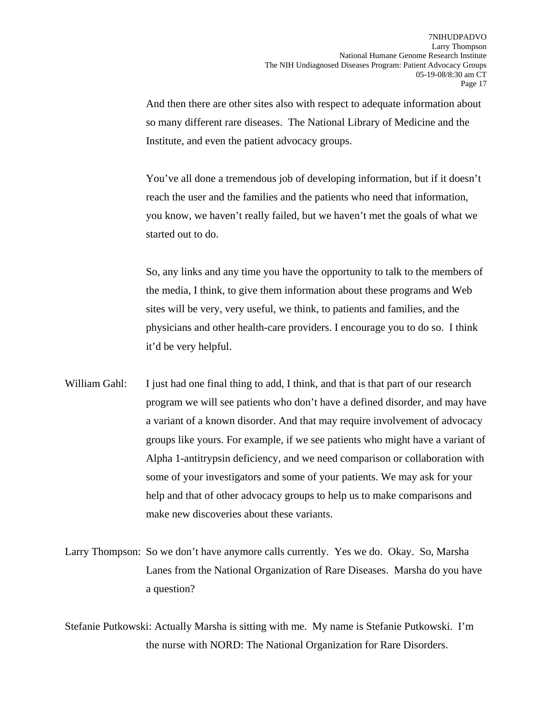And then there are other sites also with respect to adequate information about so many different rare diseases. The National Library of Medicine and the Institute, and even the patient advocacy groups.

You've all done a tremendous job of developing information, but if it doesn't reach the user and the families and the patients who need that information, you know, we haven't really failed, but we haven't met the goals of what we started out to do.

So, any links and any time you have the opportunity to talk to the members of the media, I think, to give them information about these programs and Web sites will be very, very useful, we think, to patients and families, and the physicians and other health-care providers. I encourage you to do so. I think it'd be very helpful.

- William Gahl: I just had one final thing to add, I think, and that is that part of our research program we will see patients who don't have a defined disorder, and may have a variant of a known disorder. And that may require involvement of advocacy groups like yours. For example, if we see patients who might have a variant of Alpha 1-antitrypsin deficiency, and we need comparison or collaboration with some of your investigators and some of your patients. We may ask for your help and that of other advocacy groups to help us to make comparisons and make new discoveries about these variants.
- Larry Thompson: So we don't have anymore calls currently. Yes we do. Okay. So, Marsha Lanes from the National Organization of Rare Diseases. Marsha do you have a question?

Stefanie Putkowski: Actually Marsha is sitting with me. My name is Stefanie Putkowski. I'm the nurse with NORD: The National Organization for Rare Disorders.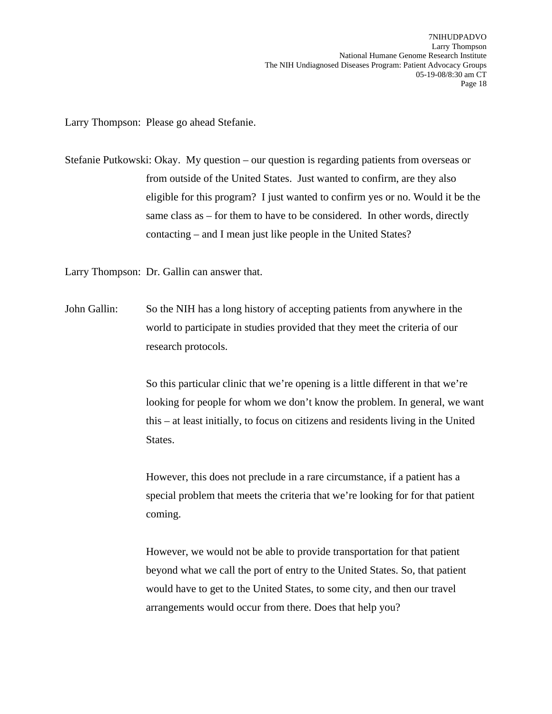Larry Thompson: Please go ahead Stefanie.

Stefanie Putkowski: Okay. My question – our question is regarding patients from overseas or from outside of the United States. Just wanted to confirm, are they also eligible for this program? I just wanted to confirm yes or no. Would it be the same class as – for them to have to be considered. In other words, directly contacting – and I mean just like people in the United States?

Larry Thompson: Dr. Gallin can answer that.

John Gallin: So the NIH has a long history of accepting patients from anywhere in the world to participate in studies provided that they meet the criteria of our research protocols.

> So this particular clinic that we're opening is a little different in that we're looking for people for whom we don't know the problem. In general, we want this – at least initially, to focus on citizens and residents living in the United States.

However, this does not preclude in a rare circumstance, if a patient has a special problem that meets the criteria that we're looking for for that patient coming.

However, we would not be able to provide transportation for that patient beyond what we call the port of entry to the United States. So, that patient would have to get to the United States, to some city, and then our travel arrangements would occur from there. Does that help you?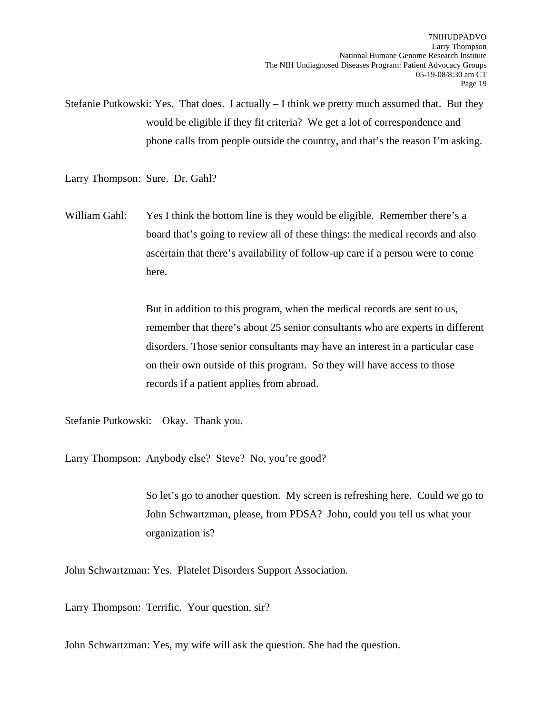Stefanie Putkowski: Yes. That does. I actually – I think we pretty much assumed that. But they would be eligible if they fit criteria? We get a lot of correspondence and phone calls from people outside the country, and that's the reason I'm asking.

Larry Thompson: Sure. Dr. Gahl?

William Gahl: Yes I think the bottom line is they would be eligible. Remember there's a board that's going to review all of these things: the medical records and also ascertain that there's availability of follow-up care if a person were to come here.

> But in addition to this program, when the medical records are sent to us, remember that there's about 25 senior consultants who are experts in different disorders. Those senior consultants may have an interest in a particular case on their own outside of this program. So they will have access to those records if a patient applies from abroad.

Stefanie Putkowski: Okay. Thank you.

Larry Thompson: Anybody else? Steve? No, you're good?

So let's go to another question. My screen is refreshing here. Could we go to John Schwartzman, please, from PDSA? John, could you tell us what your organization is?

John Schwartzman: Yes. Platelet Disorders Support Association.

Larry Thompson: Terrific. Your question, sir?

John Schwartzman: Yes, my wife will ask the question. She had the question.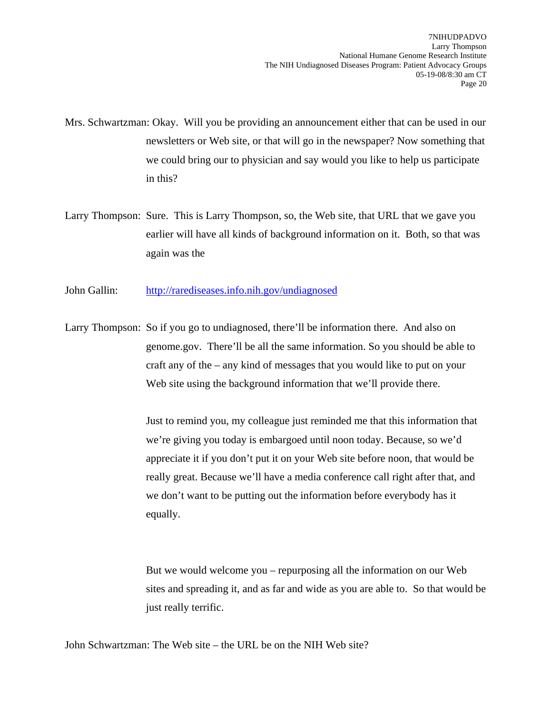- Mrs. Schwartzman: Okay. Will you be providing an announcement either that can be used in our newsletters or Web site, or that will go in the newspaper? Now something that we could bring our to physician and say would you like to help us participate in this?
- Larry Thompson: Sure. This is Larry Thompson, so, the Web site, that URL that we gave you earlier will have all kinds of background information on it. Both, so that was again was the
- John Gallin: <http://rarediseases.info.nih.gov/undiagnosed>
- Larry Thompson: So if you go to undiagnosed, there'll be information there. And also on genome.gov. There'll be all the same information. So you should be able to craft any of the – any kind of messages that you would like to put on your Web site using the background information that we'll provide there.

Just to remind you, my colleague just reminded me that this information that we're giving you today is embargoed until noon today. Because, so we'd appreciate it if you don't put it on your Web site before noon, that would be really great. Because we'll have a media conference call right after that, and we don't want to be putting out the information before everybody has it equally.

But we would welcome you – repurposing all the information on our Web sites and spreading it, and as far and wide as you are able to. So that would be just really terrific.

John Schwartzman: The Web site – the URL be on the NIH Web site?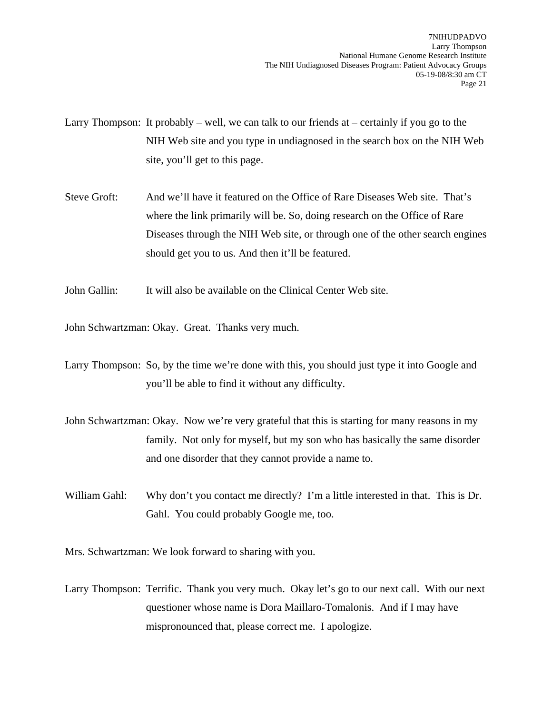Larry Thompson: It probably – well, we can talk to our friends at – certainly if you go to the NIH Web site and you type in undiagnosed in the search box on the NIH Web site, you'll get to this page.

- Steve Groft: And we'll have it featured on the Office of Rare Diseases Web site. That's where the link primarily will be. So, doing research on the Office of Rare Diseases through the NIH Web site, or through one of the other search engines should get you to us. And then it'll be featured.
- John Gallin: It will also be available on the Clinical Center Web site.

John Schwartzman: Okay. Great. Thanks very much.

Larry Thompson: So, by the time we're done with this, you should just type it into Google and you'll be able to find it without any difficulty.

- John Schwartzman: Okay. Now we're very grateful that this is starting for many reasons in my family. Not only for myself, but my son who has basically the same disorder and one disorder that they cannot provide a name to.
- William Gahl: Why don't you contact me directly? I'm a little interested in that. This is Dr. Gahl. You could probably Google me, too.

Mrs. Schwartzman: We look forward to sharing with you.

Larry Thompson: Terrific. Thank you very much. Okay let's go to our next call. With our next questioner whose name is Dora Maillaro-Tomalonis. And if I may have mispronounced that, please correct me. I apologize.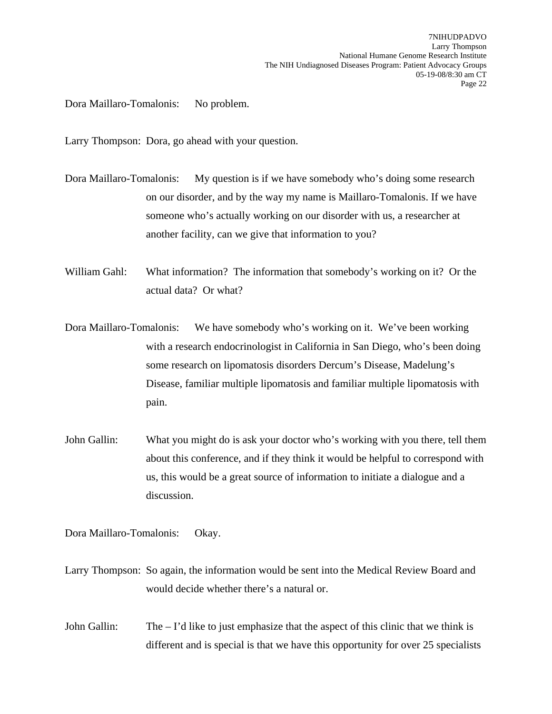Dora Maillaro-Tomalonis: No problem.

Larry Thompson: Dora, go ahead with your question.

- Dora Maillaro-Tomalonis: My question is if we have somebody who's doing some research on our disorder, and by the way my name is Maillaro-Tomalonis. If we have someone who's actually working on our disorder with us, a researcher at another facility, can we give that information to you?
- William Gahl: What information? The information that somebody's working on it? Or the actual data? Or what?
- Dora Maillaro-Tomalonis: We have somebody who's working on it. We've been working with a research endocrinologist in California in San Diego, who's been doing some research on lipomatosis disorders Dercum's Disease, Madelung's Disease, familiar multiple lipomatosis and familiar multiple lipomatosis with pain.
- John Gallin: What you might do is ask your doctor who's working with you there, tell them about this conference, and if they think it would be helpful to correspond with us, this would be a great source of information to initiate a dialogue and a discussion.

Dora Maillaro-Tomalonis: Okay.

- Larry Thompson: So again, the information would be sent into the Medical Review Board and would decide whether there's a natural or.
- John Gallin: The I'd like to just emphasize that the aspect of this clinic that we think is different and is special is that we have this opportunity for over 25 specialists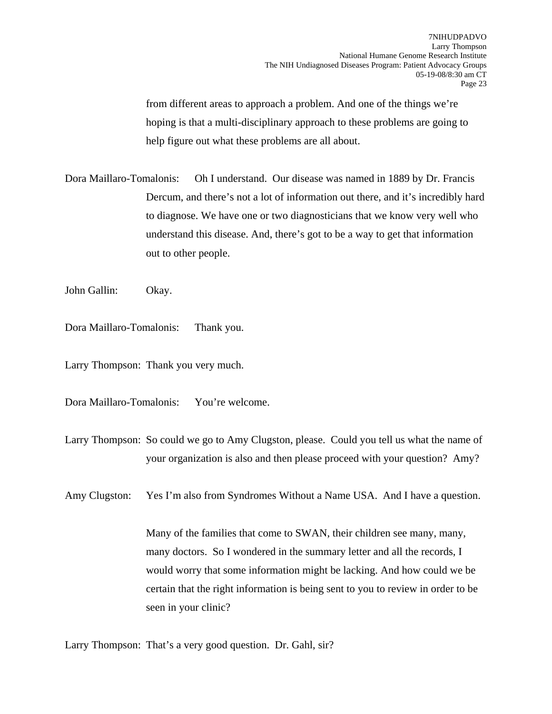from different areas to approach a problem. And one of the things we're hoping is that a multi-disciplinary approach to these problems are going to help figure out what these problems are all about.

Dora Maillaro-Tomalonis: Oh I understand. Our disease was named in 1889 by Dr. Francis Dercum, and there's not a lot of information out there, and it's incredibly hard to diagnose. We have one or two diagnosticians that we know very well who understand this disease. And, there's got to be a way to get that information out to other people.

John Gallin: Okay.

Dora Maillaro-Tomalonis: Thank you.

Larry Thompson: Thank you very much.

Dora Maillaro-Tomalonis: You're welcome.

Larry Thompson: So could we go to Amy Clugston, please. Could you tell us what the name of your organization is also and then please proceed with your question? Amy?

Amy Clugston: Yes I'm also from Syndromes Without a Name USA. And I have a question.

Many of the families that come to SWAN, their children see many, many, many doctors. So I wondered in the summary letter and all the records, I would worry that some information might be lacking. And how could we be certain that the right information is being sent to you to review in order to be seen in your clinic?

Larry Thompson: That's a very good question. Dr. Gahl, sir?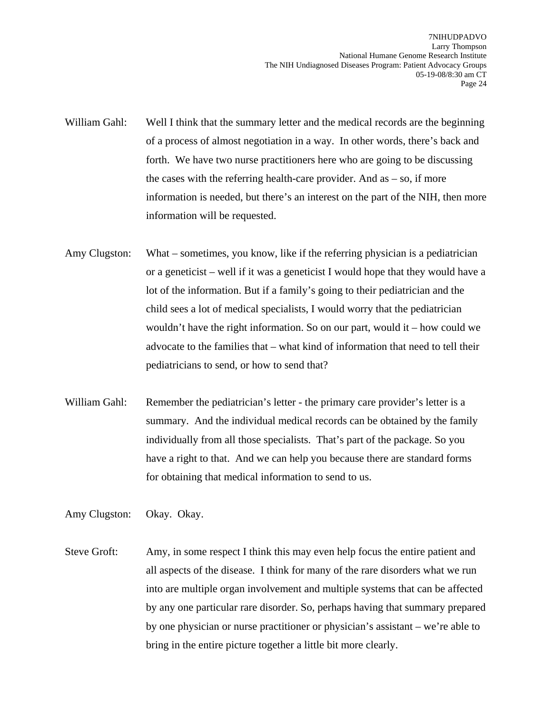- William Gahl: Well I think that the summary letter and the medical records are the beginning of a process of almost negotiation in a way. In other words, there's back and forth. We have two nurse practitioners here who are going to be discussing the cases with the referring health-care provider. And as  $-$  so, if more information is needed, but there's an interest on the part of the NIH, then more information will be requested.
- Amy Clugston: What sometimes, you know, like if the referring physician is a pediatrician or a geneticist – well if it was a geneticist I would hope that they would have a lot of the information. But if a family's going to their pediatrician and the child sees a lot of medical specialists, I would worry that the pediatrician wouldn't have the right information. So on our part, would it – how could we advocate to the families that – what kind of information that need to tell their pediatricians to send, or how to send that?
- William Gahl: Remember the pediatrician's letter the primary care provider's letter is a summary. And the individual medical records can be obtained by the family individually from all those specialists. That's part of the package. So you have a right to that. And we can help you because there are standard forms for obtaining that medical information to send to us.

Amy Clugston: Okay. Okay.

Steve Groft: Amy, in some respect I think this may even help focus the entire patient and all aspects of the disease. I think for many of the rare disorders what we run into are multiple organ involvement and multiple systems that can be affected by any one particular rare disorder. So, perhaps having that summary prepared by one physician or nurse practitioner or physician's assistant – we're able to bring in the entire picture together a little bit more clearly.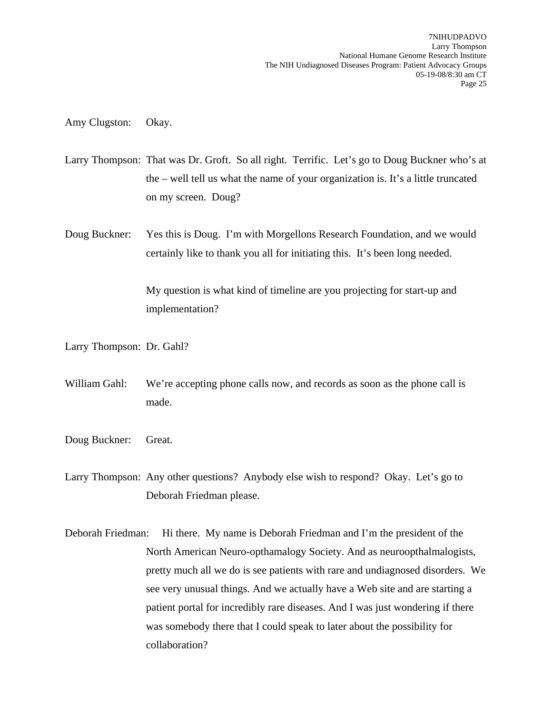Amy Clugston: Okay.

- Larry Thompson: That was Dr. Groft. So all right. Terrific. Let's go to Doug Buckner who's at the – well tell us what the name of your organization is. It's a little truncated on my screen. Doug?
- Doug Buckner: Yes this is Doug. I'm with Morgellons Research Foundation, and we would certainly like to thank you all for initiating this. It's been long needed.

My question is what kind of timeline are you projecting for start-up and implementation?

Larry Thompson: Dr. Gahl?

- William Gahl: We're accepting phone calls now, and records as soon as the phone call is made.
- Doug Buckner: Great.

Larry Thompson: Any other questions? Anybody else wish to respond? Okay. Let's go to Deborah Friedman please.

Deborah Friedman: Hi there. My name is Deborah Friedman and I'm the president of the North American Neuro-opthamalogy Society. And as neuroopthalmalogists, pretty much all we do is see patients with rare and undiagnosed disorders. We see very unusual things. And we actually have a Web site and are starting a patient portal for incredibly rare diseases. And I was just wondering if there was somebody there that I could speak to later about the possibility for collaboration?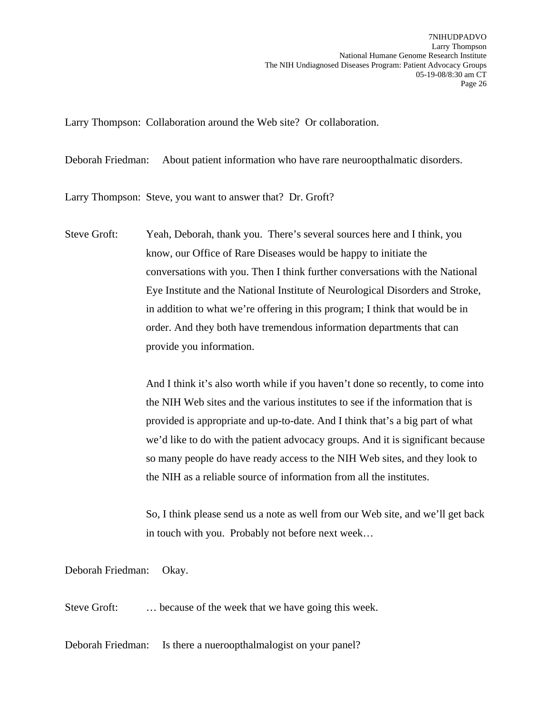Larry Thompson: Collaboration around the Web site? Or collaboration.

Deborah Friedman: About patient information who have rare neuroopthalmatic disorders.

Larry Thompson: Steve, you want to answer that? Dr. Groft?

Steve Groft: Yeah, Deborah, thank you. There's several sources here and I think, you know, our Office of Rare Diseases would be happy to initiate the conversations with you. Then I think further conversations with the National Eye Institute and the National Institute of Neurological Disorders and Stroke, in addition to what we're offering in this program; I think that would be in order. And they both have tremendous information departments that can provide you information.

> And I think it's also worth while if you haven't done so recently, to come into the NIH Web sites and the various institutes to see if the information that is provided is appropriate and up-to-date. And I think that's a big part of what we'd like to do with the patient advocacy groups. And it is significant because so many people do have ready access to the NIH Web sites, and they look to the NIH as a reliable source of information from all the institutes.

> So, I think please send us a note as well from our Web site, and we'll get back in touch with you. Probably not before next week…

Deborah Friedman: Okay.

Steve Groft: ... because of the week that we have going this week.

Deborah Friedman: Is there a nueroopthalmalogist on your panel?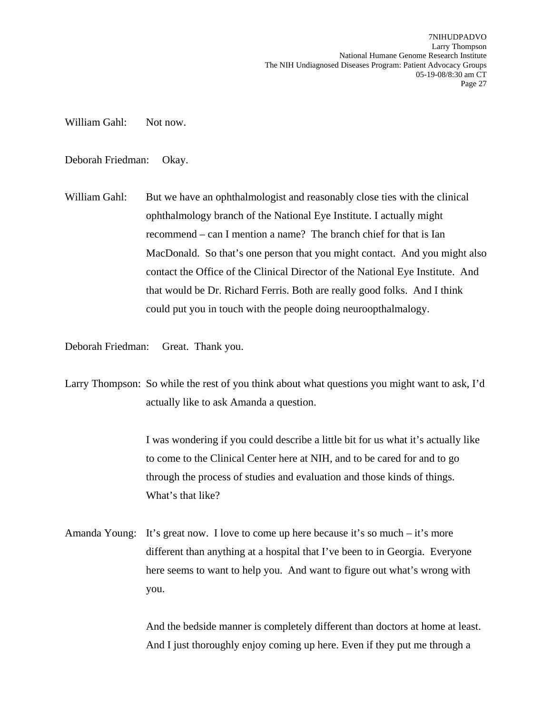William Gahl: Not now.

Deborah Friedman: Okay.

William Gahl: But we have an ophthalmologist and reasonably close ties with the clinical ophthalmology branch of the National Eye Institute. I actually might recommend – can I mention a name? The branch chief for that is Ian MacDonald. So that's one person that you might contact. And you might also contact the Office of the Clinical Director of the National Eye Institute. And that would be Dr. Richard Ferris. Both are really good folks. And I think could put you in touch with the people doing neuroopthalmalogy.

Deborah Friedman: Great. Thank you.

Larry Thompson: So while the rest of you think about what questions you might want to ask, I'd actually like to ask Amanda a question.

> I was wondering if you could describe a little bit for us what it's actually like to come to the Clinical Center here at NIH, and to be cared for and to go through the process of studies and evaluation and those kinds of things. What's that like?

Amanda Young: It's great now. I love to come up here because it's so much – it's more different than anything at a hospital that I've been to in Georgia. Everyone here seems to want to help you. And want to figure out what's wrong with you.

> And the bedside manner is completely different than doctors at home at least. And I just thoroughly enjoy coming up here. Even if they put me through a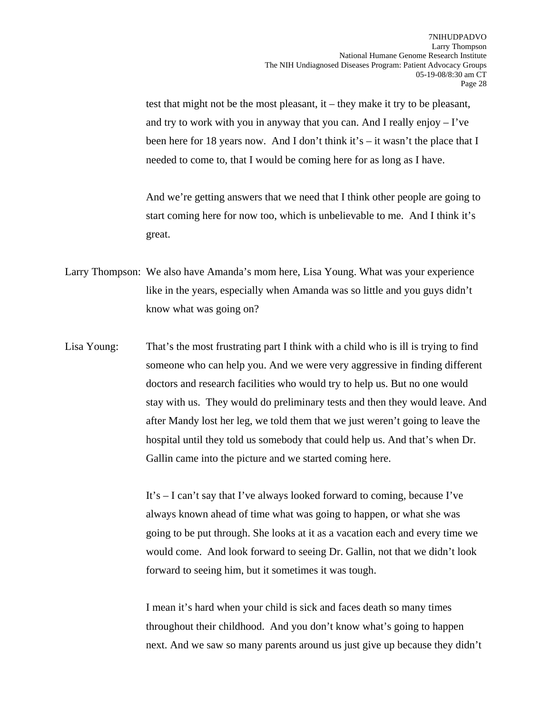test that might not be the most pleasant, it – they make it try to be pleasant, and try to work with you in anyway that you can. And I really enjoy  $-$  I've been here for 18 years now. And I don't think it's – it wasn't the place that I needed to come to, that I would be coming here for as long as I have.

And we're getting answers that we need that I think other people are going to start coming here for now too, which is unbelievable to me. And I think it's great.

- Larry Thompson: We also have Amanda's mom here, Lisa Young. What was your experience like in the years, especially when Amanda was so little and you guys didn't know what was going on?
- Lisa Young: That's the most frustrating part I think with a child who is ill is trying to find someone who can help you. And we were very aggressive in finding different doctors and research facilities who would try to help us. But no one would stay with us. They would do preliminary tests and then they would leave. And after Mandy lost her leg, we told them that we just weren't going to leave the hospital until they told us somebody that could help us. And that's when Dr. Gallin came into the picture and we started coming here.

It's – I can't say that I've always looked forward to coming, because I've always known ahead of time what was going to happen, or what she was going to be put through. She looks at it as a vacation each and every time we would come. And look forward to seeing Dr. Gallin, not that we didn't look forward to seeing him, but it sometimes it was tough.

I mean it's hard when your child is sick and faces death so many times throughout their childhood. And you don't know what's going to happen next. And we saw so many parents around us just give up because they didn't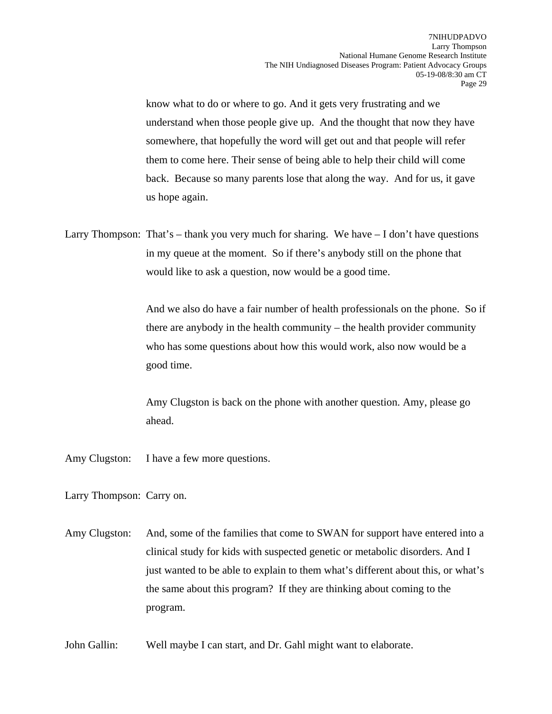know what to do or where to go. And it gets very frustrating and we understand when those people give up. And the thought that now they have somewhere, that hopefully the word will get out and that people will refer them to come here. Their sense of being able to help their child will come back. Because so many parents lose that along the way. And for us, it gave us hope again.

Larry Thompson: That's – thank you very much for sharing. We have  $-I$  don't have questions in my queue at the moment. So if there's anybody still on the phone that would like to ask a question, now would be a good time.

> And we also do have a fair number of health professionals on the phone. So if there are anybody in the health community – the health provider community who has some questions about how this would work, also now would be a good time.

Amy Clugston is back on the phone with another question. Amy, please go ahead.

Amy Clugston: I have a few more questions.

Larry Thompson: Carry on.

- Amy Clugston: And, some of the families that come to SWAN for support have entered into a clinical study for kids with suspected genetic or metabolic disorders. And I just wanted to be able to explain to them what's different about this, or what's the same about this program? If they are thinking about coming to the program.
- John Gallin: Well maybe I can start, and Dr. Gahl might want to elaborate.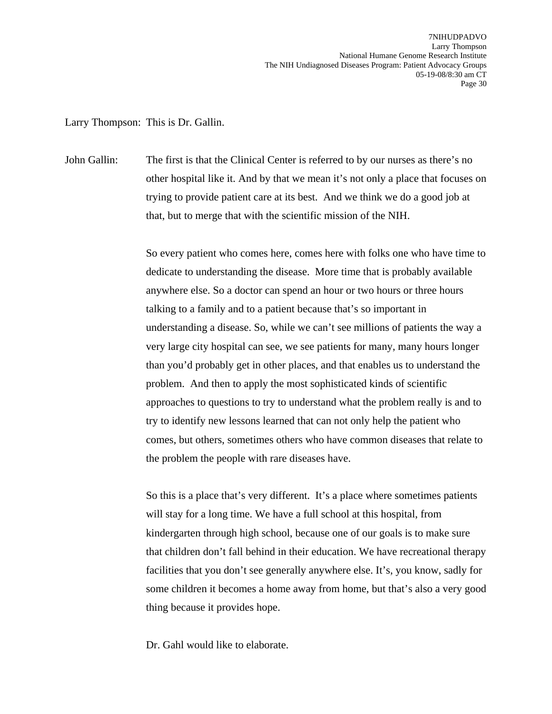Larry Thompson: This is Dr. Gallin.

John Gallin: The first is that the Clinical Center is referred to by our nurses as there's no other hospital like it. And by that we mean it's not only a place that focuses on trying to provide patient care at its best. And we think we do a good job at that, but to merge that with the scientific mission of the NIH.

> So every patient who comes here, comes here with folks one who have time to dedicate to understanding the disease. More time that is probably available anywhere else. So a doctor can spend an hour or two hours or three hours talking to a family and to a patient because that's so important in understanding a disease. So, while we can't see millions of patients the way a very large city hospital can see, we see patients for many, many hours longer than you'd probably get in other places, and that enables us to understand the problem. And then to apply the most sophisticated kinds of scientific approaches to questions to try to understand what the problem really is and to try to identify new lessons learned that can not only help the patient who comes, but others, sometimes others who have common diseases that relate to the problem the people with rare diseases have.

> So this is a place that's very different. It's a place where sometimes patients will stay for a long time. We have a full school at this hospital, from kindergarten through high school, because one of our goals is to make sure that children don't fall behind in their education. We have recreational therapy facilities that you don't see generally anywhere else. It's, you know, sadly for some children it becomes a home away from home, but that's also a very good thing because it provides hope.

Dr. Gahl would like to elaborate.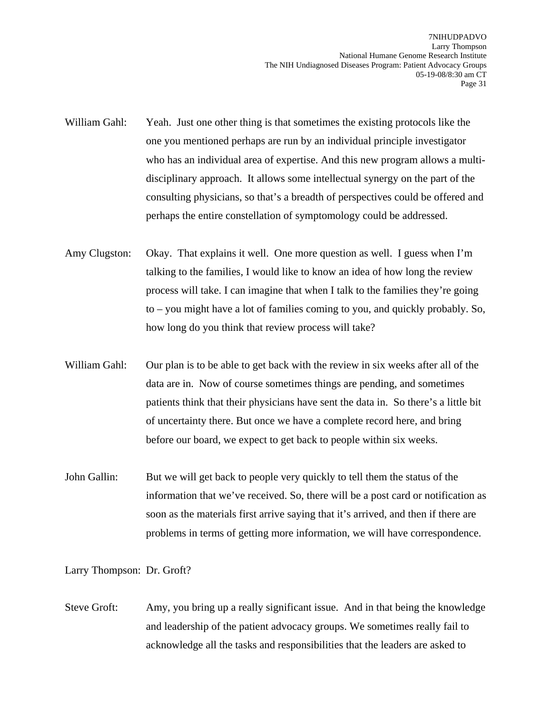- William Gahl: Yeah. Just one other thing is that sometimes the existing protocols like the one you mentioned perhaps are run by an individual principle investigator who has an individual area of expertise. And this new program allows a multidisciplinary approach. It allows some intellectual synergy on the part of the consulting physicians, so that's a breadth of perspectives could be offered and perhaps the entire constellation of symptomology could be addressed.
- Amy Clugston: Okay. That explains it well. One more question as well. I guess when I'm talking to the families, I would like to know an idea of how long the review process will take. I can imagine that when I talk to the families they're going to – you might have a lot of families coming to you, and quickly probably. So, how long do you think that review process will take?
- William Gahl: Our plan is to be able to get back with the review in six weeks after all of the data are in. Now of course sometimes things are pending, and sometimes patients think that their physicians have sent the data in. So there's a little bit of uncertainty there. But once we have a complete record here, and bring before our board, we expect to get back to people within six weeks.
- John Gallin: But we will get back to people very quickly to tell them the status of the information that we've received. So, there will be a post card or notification as soon as the materials first arrive saying that it's arrived, and then if there are problems in terms of getting more information, we will have correspondence.

Larry Thompson: Dr. Groft?

Steve Groft: Amy, you bring up a really significant issue. And in that being the knowledge and leadership of the patient advocacy groups. We sometimes really fail to acknowledge all the tasks and responsibilities that the leaders are asked to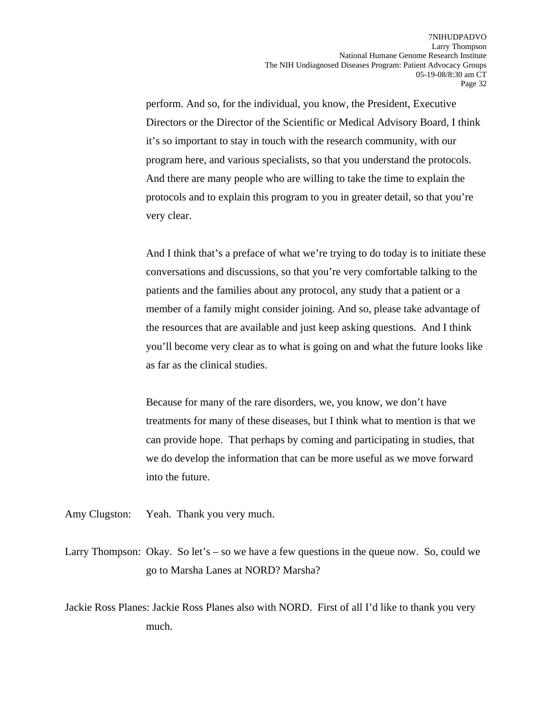perform. And so, for the individual, you know, the President, Executive Directors or the Director of the Scientific or Medical Advisory Board, I think it's so important to stay in touch with the research community, with our program here, and various specialists, so that you understand the protocols. And there are many people who are willing to take the time to explain the protocols and to explain this program to you in greater detail, so that you're very clear.

And I think that's a preface of what we're trying to do today is to initiate these conversations and discussions, so that you're very comfortable talking to the patients and the families about any protocol, any study that a patient or a member of a family might consider joining. And so, please take advantage of the resources that are available and just keep asking questions. And I think you'll become very clear as to what is going on and what the future looks like as far as the clinical studies.

Because for many of the rare disorders, we, you know, we don't have treatments for many of these diseases, but I think what to mention is that we can provide hope. That perhaps by coming and participating in studies, that we do develop the information that can be more useful as we move forward into the future.

Amy Clugston: Yeah. Thank you very much.

Larry Thompson: Okay. So let's – so we have a few questions in the queue now. So, could we go to Marsha Lanes at NORD? Marsha?

Jackie Ross Planes: Jackie Ross Planes also with NORD. First of all I'd like to thank you very much.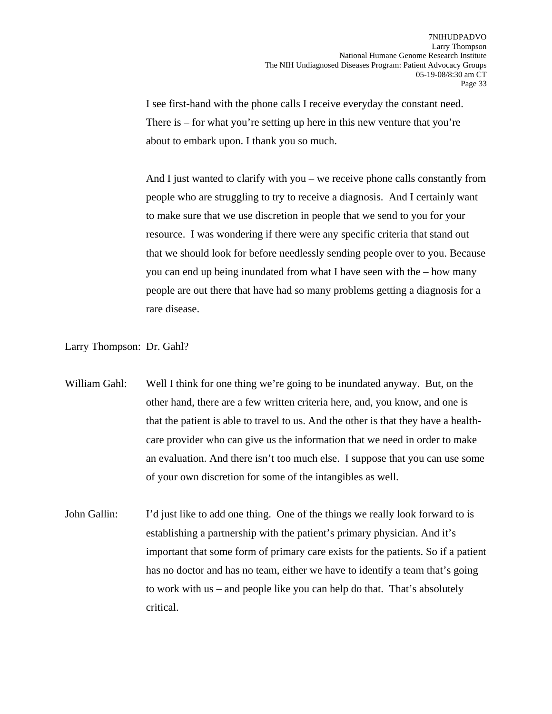I see first-hand with the phone calls I receive everyday the constant need. There is  $-$  for what you're setting up here in this new venture that you're about to embark upon. I thank you so much.

And I just wanted to clarify with you – we receive phone calls constantly from people who are struggling to try to receive a diagnosis. And I certainly want to make sure that we use discretion in people that we send to you for your resource. I was wondering if there were any specific criteria that stand out that we should look for before needlessly sending people over to you. Because you can end up being inundated from what I have seen with the – how many people are out there that have had so many problems getting a diagnosis for a rare disease.

Larry Thompson: Dr. Gahl?

William Gahl: Well I think for one thing we're going to be inundated anyway. But, on the other hand, there are a few written criteria here, and, you know, and one is that the patient is able to travel to us. And the other is that they have a healthcare provider who can give us the information that we need in order to make an evaluation. And there isn't too much else. I suppose that you can use some of your own discretion for some of the intangibles as well.

John Gallin: I'd just like to add one thing. One of the things we really look forward to is establishing a partnership with the patient's primary physician. And it's important that some form of primary care exists for the patients. So if a patient has no doctor and has no team, either we have to identify a team that's going to work with us – and people like you can help do that. That's absolutely critical.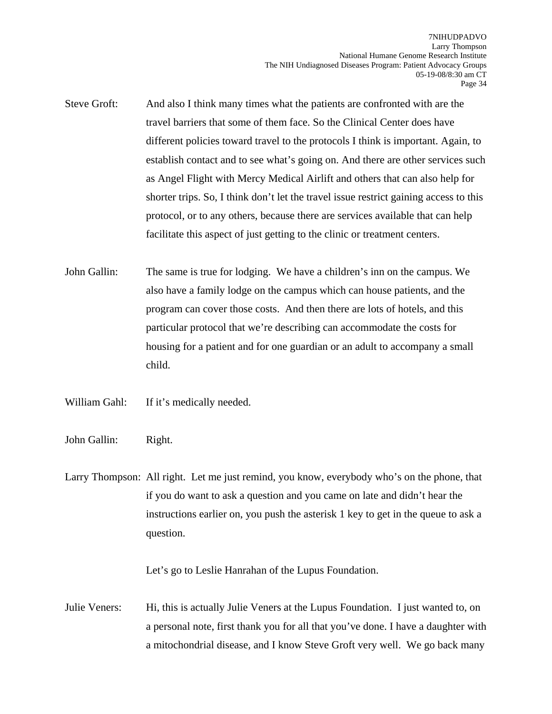- Steve Groft: And also I think many times what the patients are confronted with are the travel barriers that some of them face. So the Clinical Center does have different policies toward travel to the protocols I think is important. Again, to establish contact and to see what's going on. And there are other services such as Angel Flight with Mercy Medical Airlift and others that can also help for shorter trips. So, I think don't let the travel issue restrict gaining access to this protocol, or to any others, because there are services available that can help facilitate this aspect of just getting to the clinic or treatment centers.
- John Gallin: The same is true for lodging. We have a children's inn on the campus. We also have a family lodge on the campus which can house patients, and the program can cover those costs. And then there are lots of hotels, and this particular protocol that we're describing can accommodate the costs for housing for a patient and for one guardian or an adult to accompany a small child.
- William Gahl: If it's medically needed.
- John Gallin: Right.
- Larry Thompson: All right. Let me just remind, you know, everybody who's on the phone, that if you do want to ask a question and you came on late and didn't hear the instructions earlier on, you push the asterisk 1 key to get in the queue to ask a question.

Let's go to Leslie Hanrahan of the Lupus Foundation.

Julie Veners: Hi, this is actually Julie Veners at the Lupus Foundation. I just wanted to, on a personal note, first thank you for all that you've done. I have a daughter with a mitochondrial disease, and I know Steve Groft very well. We go back many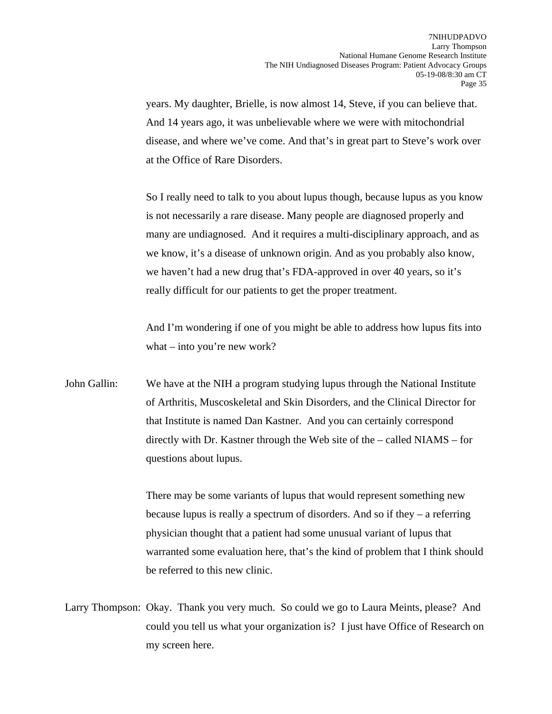years. My daughter, Brielle, is now almost 14, Steve, if you can believe that. And 14 years ago, it was unbelievable where we were with mitochondrial disease, and where we've come. And that's in great part to Steve's work over at the Office of Rare Disorders.

So I really need to talk to you about lupus though, because lupus as you know is not necessarily a rare disease. Many people are diagnosed properly and many are undiagnosed. And it requires a multi-disciplinary approach, and as we know, it's a disease of unknown origin. And as you probably also know, we haven't had a new drug that's FDA-approved in over 40 years, so it's really difficult for our patients to get the proper treatment.

And I'm wondering if one of you might be able to address how lupus fits into what – into you're new work?

John Gallin: We have at the NIH a program studying lupus through the National Institute of Arthritis, Muscoskeletal and Skin Disorders, and the Clinical Director for that Institute is named Dan Kastner. And you can certainly correspond directly with Dr. Kastner through the Web site of the – called NIAMS – for questions about lupus.

> There may be some variants of lupus that would represent something new because lupus is really a spectrum of disorders. And so if they – a referring physician thought that a patient had some unusual variant of lupus that warranted some evaluation here, that's the kind of problem that I think should be referred to this new clinic.

Larry Thompson: Okay. Thank you very much. So could we go to Laura Meints, please? And could you tell us what your organization is? I just have Office of Research on my screen here.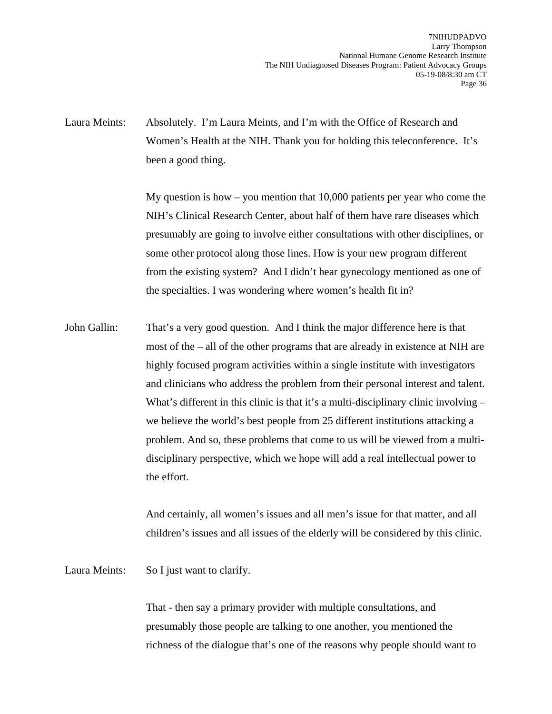Laura Meints: Absolutely. I'm Laura Meints, and I'm with the Office of Research and Women's Health at the NIH. Thank you for holding this teleconference. It's been a good thing.

> My question is how – you mention that  $10,000$  patients per year who come the NIH's Clinical Research Center, about half of them have rare diseases which presumably are going to involve either consultations with other disciplines, or some other protocol along those lines. How is your new program different from the existing system? And I didn't hear gynecology mentioned as one of the specialties. I was wondering where women's health fit in?

John Gallin: That's a very good question. And I think the major difference here is that most of the – all of the other programs that are already in existence at NIH are highly focused program activities within a single institute with investigators and clinicians who address the problem from their personal interest and talent. What's different in this clinic is that it's a multi-disciplinary clinic involving – we believe the world's best people from 25 different institutions attacking a problem. And so, these problems that come to us will be viewed from a multidisciplinary perspective, which we hope will add a real intellectual power to the effort.

> And certainly, all women's issues and all men's issue for that matter, and all children's issues and all issues of the elderly will be considered by this clinic.

Laura Meints: So I just want to clarify.

That - then say a primary provider with multiple consultations, and presumably those people are talking to one another, you mentioned the richness of the dialogue that's one of the reasons why people should want to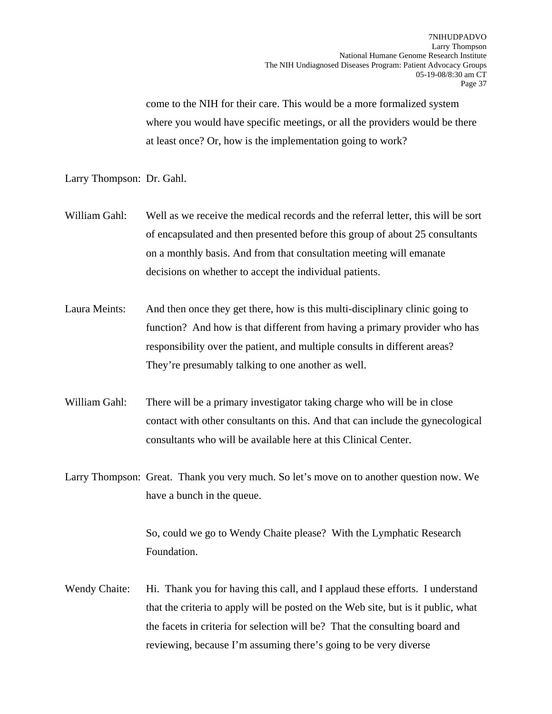come to the NIH for their care. This would be a more formalized system where you would have specific meetings, or all the providers would be there at least once? Or, how is the implementation going to work?

Larry Thompson: Dr. Gahl.

- William Gahl: Well as we receive the medical records and the referral letter, this will be sort of encapsulated and then presented before this group of about 25 consultants on a monthly basis. And from that consultation meeting will emanate decisions on whether to accept the individual patients.
- Laura Meints: And then once they get there, how is this multi-disciplinary clinic going to function? And how is that different from having a primary provider who has responsibility over the patient, and multiple consults in different areas? They're presumably talking to one another as well.
- William Gahl: There will be a primary investigator taking charge who will be in close contact with other consultants on this. And that can include the gynecological consultants who will be available here at this Clinical Center.
- Larry Thompson: Great. Thank you very much. So let's move on to another question now. We have a bunch in the queue.

So, could we go to Wendy Chaite please? With the Lymphatic Research Foundation.

Wendy Chaite: Hi. Thank you for having this call, and I applaud these efforts. I understand that the criteria to apply will be posted on the Web site, but is it public, what the facets in criteria for selection will be? That the consulting board and reviewing, because I'm assuming there's going to be very diverse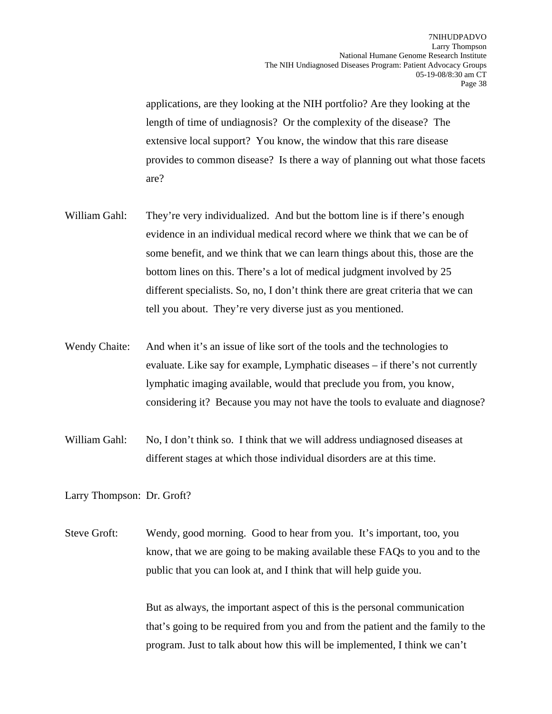applications, are they looking at the NIH portfolio? Are they looking at the length of time of undiagnosis? Or the complexity of the disease? The extensive local support? You know, the window that this rare disease provides to common disease? Is there a way of planning out what those facets are?

- William Gahl: They're very individualized. And but the bottom line is if there's enough evidence in an individual medical record where we think that we can be of some benefit, and we think that we can learn things about this, those are the bottom lines on this. There's a lot of medical judgment involved by 25 different specialists. So, no, I don't think there are great criteria that we can tell you about. They're very diverse just as you mentioned.
- Wendy Chaite: And when it's an issue of like sort of the tools and the technologies to evaluate. Like say for example, Lymphatic diseases – if there's not currently lymphatic imaging available, would that preclude you from, you know, considering it? Because you may not have the tools to evaluate and diagnose?
- William Gahl: No, I don't think so. I think that we will address undiagnosed diseases at different stages at which those individual disorders are at this time.

Larry Thompson: Dr. Groft?

Steve Groft: Wendy, good morning. Good to hear from you. It's important, too, you know, that we are going to be making available these FAQs to you and to the public that you can look at, and I think that will help guide you.

> But as always, the important aspect of this is the personal communication that's going to be required from you and from the patient and the family to the program. Just to talk about how this will be implemented, I think we can't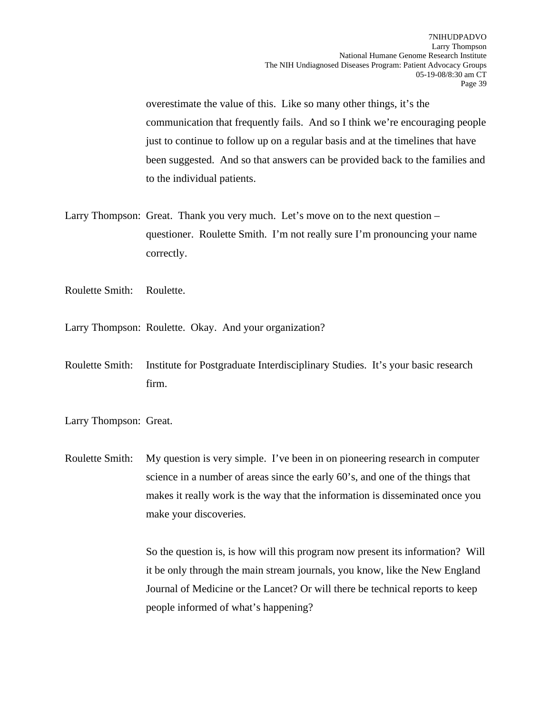overestimate the value of this. Like so many other things, it's the communication that frequently fails. And so I think we're encouraging people just to continue to follow up on a regular basis and at the timelines that have been suggested. And so that answers can be provided back to the families and to the individual patients.

- Larry Thompson: Great. Thank you very much. Let's move on to the next question questioner. Roulette Smith. I'm not really sure I'm pronouncing your name correctly.
- Roulette Smith: Roulette.
- Larry Thompson: Roulette. Okay. And your organization?
- Roulette Smith: Institute for Postgraduate Interdisciplinary Studies. It's your basic research firm.
- Larry Thompson: Great.

Roulette Smith: My question is very simple. I've been in on pioneering research in computer science in a number of areas since the early 60's, and one of the things that makes it really work is the way that the information is disseminated once you make your discoveries.

> So the question is, is how will this program now present its information? Will it be only through the main stream journals, you know, like the New England Journal of Medicine or the Lancet? Or will there be technical reports to keep people informed of what's happening?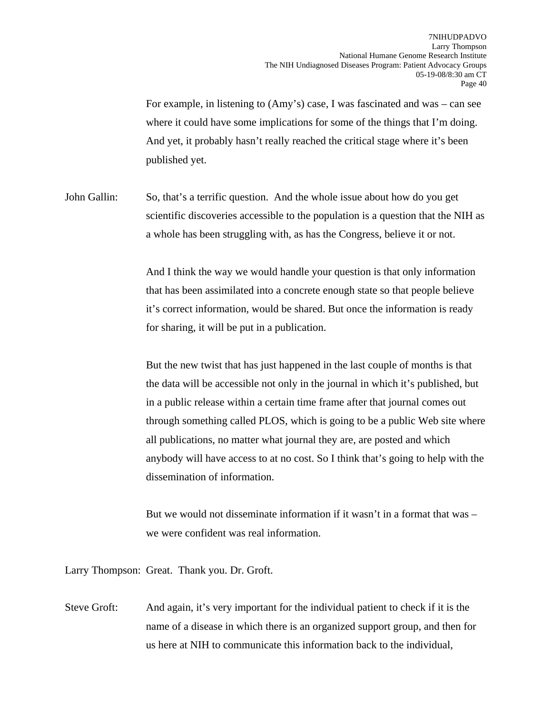For example, in listening to (Amy's) case, I was fascinated and was – can see where it could have some implications for some of the things that I'm doing. And yet, it probably hasn't really reached the critical stage where it's been published yet.

John Gallin: So, that's a terrific question. And the whole issue about how do you get scientific discoveries accessible to the population is a question that the NIH as a whole has been struggling with, as has the Congress, believe it or not.

> And I think the way we would handle your question is that only information that has been assimilated into a concrete enough state so that people believe it's correct information, would be shared. But once the information is ready for sharing, it will be put in a publication.

But the new twist that has just happened in the last couple of months is that the data will be accessible not only in the journal in which it's published, but in a public release within a certain time frame after that journal comes out through something called PLOS, which is going to be a public Web site where all publications, no matter what journal they are, are posted and which anybody will have access to at no cost. So I think that's going to help with the dissemination of information.

But we would not disseminate information if it wasn't in a format that was  $$ we were confident was real information.

Larry Thompson: Great. Thank you. Dr. Groft.

Steve Groft: And again, it's very important for the individual patient to check if it is the name of a disease in which there is an organized support group, and then for us here at NIH to communicate this information back to the individual,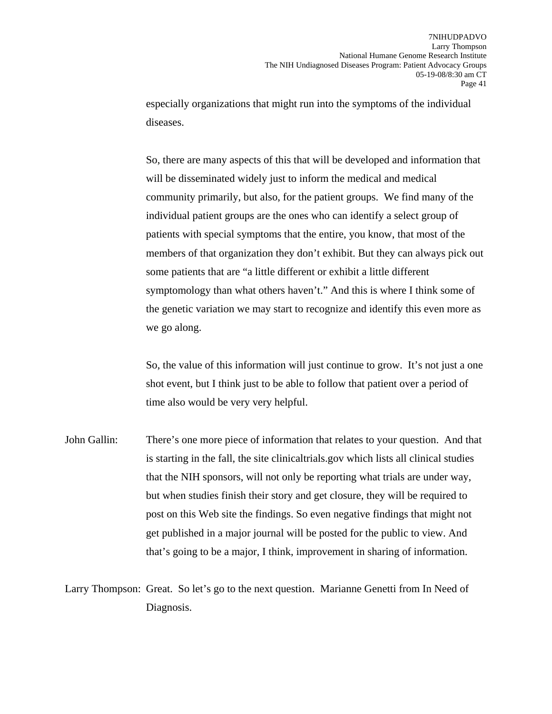especially organizations that might run into the symptoms of the individual diseases.

So, there are many aspects of this that will be developed and information that will be disseminated widely just to inform the medical and medical community primarily, but also, for the patient groups. We find many of the individual patient groups are the ones who can identify a select group of patients with special symptoms that the entire, you know, that most of the members of that organization they don't exhibit. But they can always pick out some patients that are "a little different or exhibit a little different symptomology than what others haven't." And this is where I think some of the genetic variation we may start to recognize and identify this even more as we go along.

So, the value of this information will just continue to grow. It's not just a one shot event, but I think just to be able to follow that patient over a period of time also would be very very helpful.

John Gallin: There's one more piece of information that relates to your question. And that is starting in the fall, the site clinicaltrials.gov which lists all clinical studies that the NIH sponsors, will not only be reporting what trials are under way, but when studies finish their story and get closure, they will be required to post on this Web site the findings. So even negative findings that might not get published in a major journal will be posted for the public to view. And that's going to be a major, I think, improvement in sharing of information.

Larry Thompson: Great. So let's go to the next question. Marianne Genetti from In Need of Diagnosis.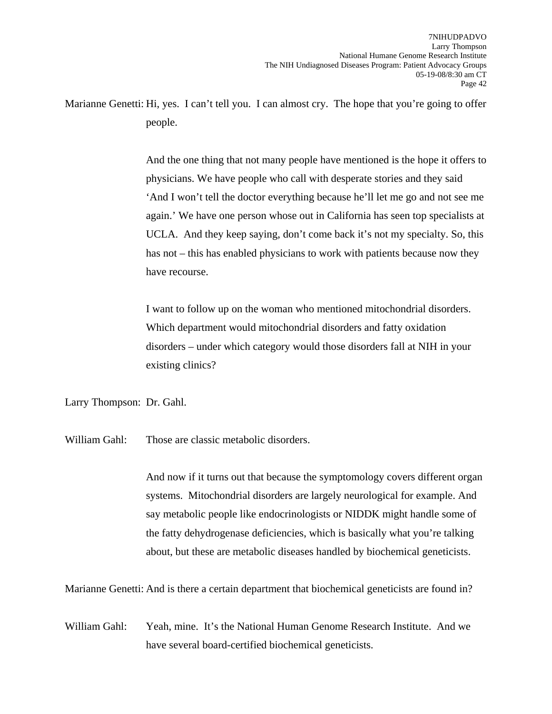Marianne Genetti: Hi, yes. I can't tell you. I can almost cry. The hope that you're going to offer people.

> And the one thing that not many people have mentioned is the hope it offers to physicians. We have people who call with desperate stories and they said 'And I won't tell the doctor everything because he'll let me go and not see me again.' We have one person whose out in California has seen top specialists at UCLA. And they keep saying, don't come back it's not my specialty. So, this has not – this has enabled physicians to work with patients because now they have recourse.

I want to follow up on the woman who mentioned mitochondrial disorders. Which department would mitochondrial disorders and fatty oxidation disorders – under which category would those disorders fall at NIH in your existing clinics?

Larry Thompson: Dr. Gahl.

William Gahl: Those are classic metabolic disorders.

And now if it turns out that because the symptomology covers different organ systems. Mitochondrial disorders are largely neurological for example. And say metabolic people like endocrinologists or NIDDK might handle some of the fatty dehydrogenase deficiencies, which is basically what you're talking about, but these are metabolic diseases handled by biochemical geneticists.

Marianne Genetti: And is there a certain department that biochemical geneticists are found in?

William Gahl: Yeah, mine. It's the National Human Genome Research Institute. And we have several board-certified biochemical geneticists.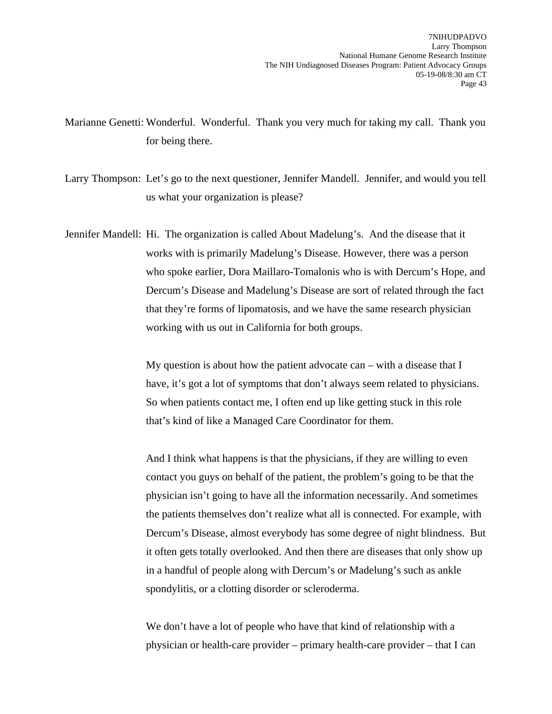Marianne Genetti: Wonderful. Wonderful. Thank you very much for taking my call. Thank you for being there.

Larry Thompson: Let's go to the next questioner, Jennifer Mandell. Jennifer, and would you tell us what your organization is please?

Jennifer Mandell: Hi. The organization is called About Madelung's. And the disease that it works with is primarily Madelung's Disease. However, there was a person who spoke earlier, Dora Maillaro-Tomalonis who is with Dercum's Hope, and Dercum's Disease and Madelung's Disease are sort of related through the fact that they're forms of lipomatosis, and we have the same research physician working with us out in California for both groups.

> My question is about how the patient advocate can – with a disease that I have, it's got a lot of symptoms that don't always seem related to physicians. So when patients contact me, I often end up like getting stuck in this role that's kind of like a Managed Care Coordinator for them.

And I think what happens is that the physicians, if they are willing to even contact you guys on behalf of the patient, the problem's going to be that the physician isn't going to have all the information necessarily. And sometimes the patients themselves don't realize what all is connected. For example, with Dercum's Disease, almost everybody has some degree of night blindness. But it often gets totally overlooked. And then there are diseases that only show up in a handful of people along with Dercum's or Madelung's such as ankle spondylitis, or a clotting disorder or scleroderma.

We don't have a lot of people who have that kind of relationship with a physician or health-care provider – primary health-care provider – that I can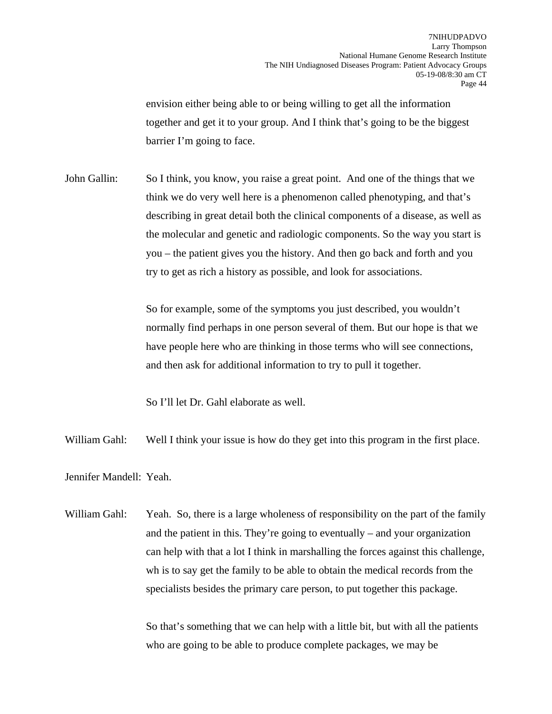envision either being able to or being willing to get all the information together and get it to your group. And I think that's going to be the biggest barrier I'm going to face.

John Gallin: So I think, you know, you raise a great point. And one of the things that we think we do very well here is a phenomenon called phenotyping, and that's describing in great detail both the clinical components of a disease, as well as the molecular and genetic and radiologic components. So the way you start is you – the patient gives you the history. And then go back and forth and you try to get as rich a history as possible, and look for associations.

> So for example, some of the symptoms you just described, you wouldn't normally find perhaps in one person several of them. But our hope is that we have people here who are thinking in those terms who will see connections, and then ask for additional information to try to pull it together.

So I'll let Dr. Gahl elaborate as well.

William Gahl: Well I think your issue is how do they get into this program in the first place.

Jennifer Mandell: Yeah.

William Gahl: Yeah. So, there is a large wholeness of responsibility on the part of the family and the patient in this. They're going to eventually – and your organization can help with that a lot I think in marshalling the forces against this challenge, wh is to say get the family to be able to obtain the medical records from the specialists besides the primary care person, to put together this package.

> So that's something that we can help with a little bit, but with all the patients who are going to be able to produce complete packages, we may be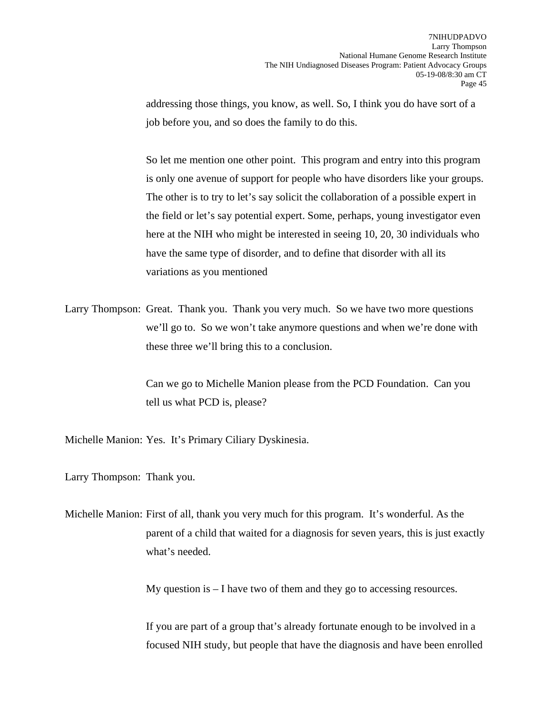addressing those things, you know, as well. So, I think you do have sort of a job before you, and so does the family to do this.

So let me mention one other point. This program and entry into this program is only one avenue of support for people who have disorders like your groups. The other is to try to let's say solicit the collaboration of a possible expert in the field or let's say potential expert. Some, perhaps, young investigator even here at the NIH who might be interested in seeing 10, 20, 30 individuals who have the same type of disorder, and to define that disorder with all its variations as you mentioned

Larry Thompson: Great. Thank you. Thank you very much. So we have two more questions we'll go to. So we won't take anymore questions and when we're done with these three we'll bring this to a conclusion.

> Can we go to Michelle Manion please from the PCD Foundation. Can you tell us what PCD is, please?

Michelle Manion: Yes. It's Primary Ciliary Dyskinesia.

Larry Thompson: Thank you.

Michelle Manion: First of all, thank you very much for this program. It's wonderful. As the parent of a child that waited for a diagnosis for seven years, this is just exactly what's needed.

My question is – I have two of them and they go to accessing resources.

If you are part of a group that's already fortunate enough to be involved in a focused NIH study, but people that have the diagnosis and have been enrolled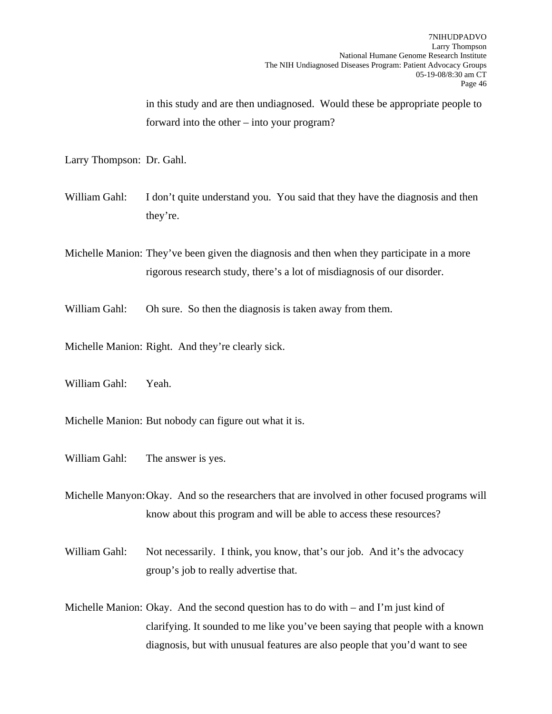in this study and are then undiagnosed. Would these be appropriate people to forward into the other – into your program?

Larry Thompson: Dr. Gahl.

William Gahl: I don't quite understand you. You said that they have the diagnosis and then they're.

Michelle Manion: They've been given the diagnosis and then when they participate in a more rigorous research study, there's a lot of misdiagnosis of our disorder.

William Gahl: Oh sure. So then the diagnosis is taken away from them.

Michelle Manion: Right. And they're clearly sick.

William Gahl: Yeah.

Michelle Manion: But nobody can figure out what it is.

William Gahl: The answer is yes.

Michelle Manyon: Okay. And so the researchers that are involved in other focused programs will know about this program and will be able to access these resources?

William Gahl: Not necessarily. I think, you know, that's our job. And it's the advocacy group's job to really advertise that.

Michelle Manion: Okay. And the second question has to do with – and I'm just kind of clarifying. It sounded to me like you've been saying that people with a known diagnosis, but with unusual features are also people that you'd want to see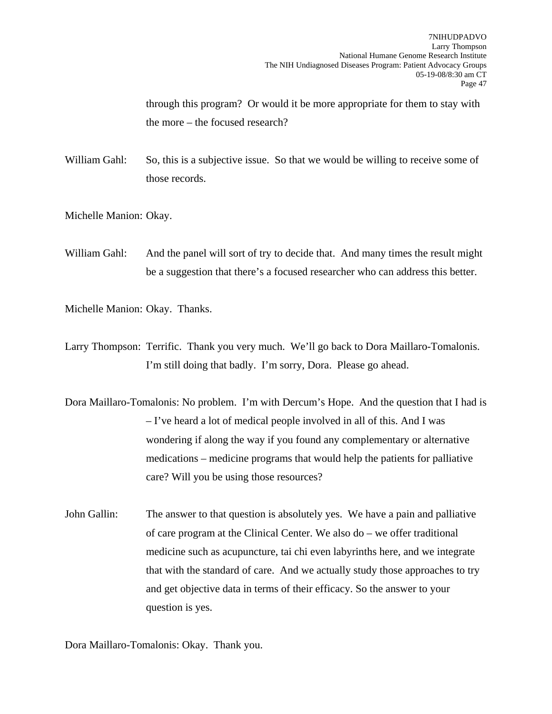through this program? Or would it be more appropriate for them to stay with the more – the focused research?

William Gahl: So, this is a subjective issue. So that we would be willing to receive some of those records.

Michelle Manion: Okay.

William Gahl: And the panel will sort of try to decide that. And many times the result might be a suggestion that there's a focused researcher who can address this better.

Michelle Manion: Okay. Thanks.

- Larry Thompson: Terrific. Thank you very much. We'll go back to Dora Maillaro-Tomalonis. I'm still doing that badly. I'm sorry, Dora. Please go ahead.
- Dora Maillaro-Tomalonis: No problem. I'm with Dercum's Hope. And the question that I had is – I've heard a lot of medical people involved in all of this. And I was wondering if along the way if you found any complementary or alternative medications – medicine programs that would help the patients for palliative care? Will you be using those resources?
- John Gallin: The answer to that question is absolutely yes. We have a pain and palliative of care program at the Clinical Center. We also do – we offer traditional medicine such as acupuncture, tai chi even labyrinths here, and we integrate that with the standard of care. And we actually study those approaches to try and get objective data in terms of their efficacy. So the answer to your question is yes.

Dora Maillaro-Tomalonis: Okay. Thank you.